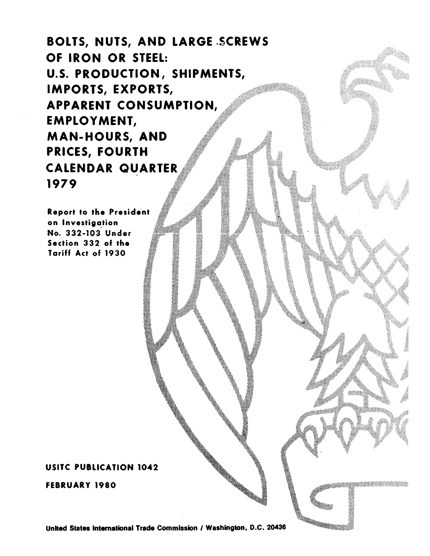BOLTS, NUTS, AND LARGE .SCREWS OF IRON OR STEEL: U.S. PRODUCTION, SHIPMENTS, IMPORTS, EXPORTS, APPARENT CONSUMPTION, EMPLOYMENT, MAN-HOURS, AND PRICES, FOURTH CALENDAR QUARTER 1979

Report to the President on Investigation No. 332-103 Under Section 332 of the Tariff Act of 1930

USITC PUBLICATION 1042

FEBRUARY 1980

United States International Trade Commission / Washington, D.C. 20436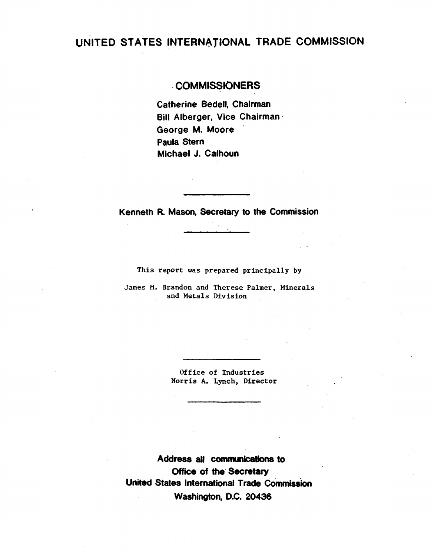# UNITED STATES INTERNATIONAL TRADE COMMISSION

## . COMMISSIONERS

Catherine Bedell, Chairman Bill Alberger, Vice Chairman · George M. Moore Paula Stern Michael J. Calhoun

Kenneth R. Mason, Secretary to the Commission

This report was prepared principally by

James M. Brandon and Therese Palmer, Minerals and Metals Division

> Office of Industries Norris A. Lynch, Director

Address all communications to Office of the Secretary United States International Trade Commission Washington, D.C. 20436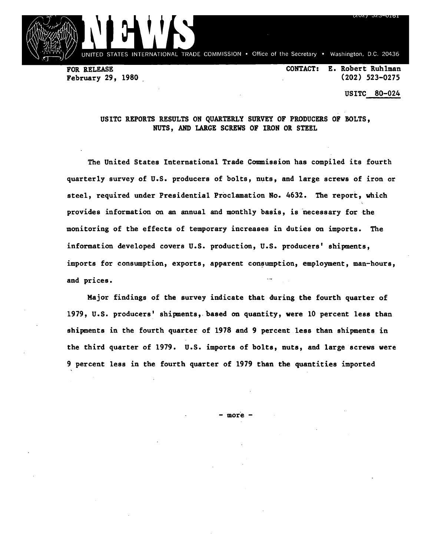

FOR RELEASE February 29, 1980 CONTACT: E. Robert Ruhlman (202) 523-0275

USITC 80-024

#### USITC REPORTS RESULTS ON QUARTERLY SURVEY OF PRODUCERS OF BOLTS, NUTS, AND LARGE SCREWS OF IRON OR STEEL

The United States International Trade Commission has compiled its fourth quarterly survey of U.S. producers of bolts, nuts, and large screws of iron or steel, required under Presidential Proclamation No. 4632. The report, which provides information on an annual and monthly basis, is necessary for the monitoring of the effects of temporary increases in duties on imports. The information developed covers U.S. production, U.S. producers' shipments, imports for consumption, exports, apparent consumption, employment, man-hours, and prices.

Major findings of the survey indicate that during the fourth quarter of 1979, U.S. producers' shipments,. based on quantity, were 10 percent less than shipments in the fourth quarter of 1978 and 9 percent less than shipments in the third quarter of 1979. U.S. imports of bolts, nuts, and large screws were 9 percent less in the fourth quarter of 1979 than the quantities imported

more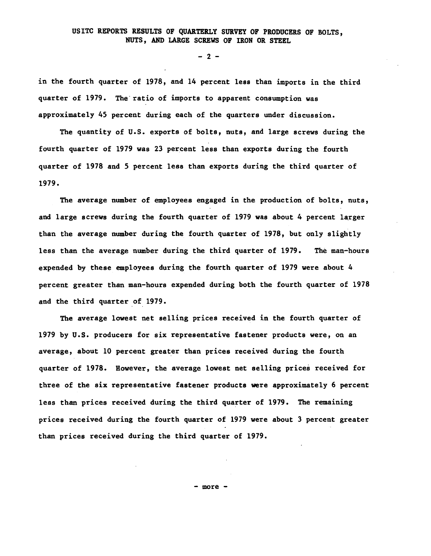$- 2 -$ 

in the fourth quarter of 1978, and 14 percent less than imports in the third quarter of 1979. The· ratio of imports to apparent consumption was approximately 45 percent during each of the quarters under discussion.

The quantity of U.S. exports of bolts, nuts, and large screws during the fourth quarter of 1979 was 23 percent less than exports during the fourth quarter of 1978 and 5 percent less than exports during the third quarter of 1979.

The average number of employees engaged in the production of bolts, nuts, and large screws during the fourth quarter of 1979 was about 4 percent larger than the average number during the fourth quarter of 1978, but only slightly less than the average number during the third quarter of 1979. The man-hours expended by these employees during the fourth quarter of 1979 were about 4 percent greater than man-hours expended during both the fourth quarter of 1978 and the third quarter of 1979.

The average lowest net selling prices received in the fourth quarter of 1979 by U.S. producers for six representative fastener products were, on an average, about 10 percent greater than prices received during the fourth quarter of 1978. However, the average lowest net selling prices received for three of the six representative fastener products were approximately 6 percent less than prices received during the third quarter of 1979. The remaining prices received during the fourth quarter of 1979 were about 3 percent greater than prices received during the third quarter of 1979.

- more -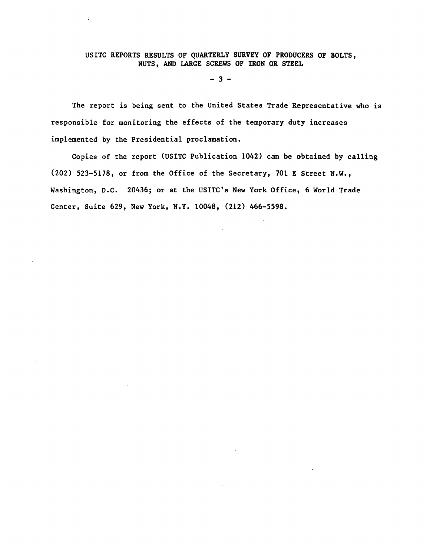#### USITC REPORTS RESULTS OF QUARTERLY SURVEY OF PRODUCERS OF BOLTS, NUTS, AND LARGE SCREWS OF IRON OR STEEL

 $-3 -$ 

The report is being sent to the United States Trade Representative who is responsible for monitoring the effects of the temporary duty increases implemented by the Presidential proclamation.

Copies of the report (USITC Publication 1042) can be obtained by calling (202) 523-5178, or from the Office of the Secretary, 701 E Street N.w., Washington, D.C. 20436; or at the USITC's New York Office, 6 World Trade Center, Suite 629, New York, N.Y. 10048, (212) 466-5598.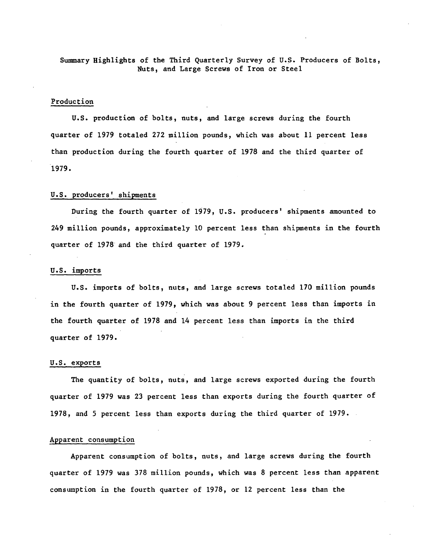Summary Highlights of the Third Quarterly Survey of U.S. Producers of Bolts, Nuts, and Large Screws of Iron or Steel

#### Production

U.S. production of bolts, nuts, and large screws during the fourth quarter of 1979 totaled 272 million pounds, which was about 11 percent less than production during the fourth quarter of 1978 and the third quarter of 1979.

#### U.S. producers' shipments

During the fourth quarter of 1979, U.S. producers' shipments amounted to 249 million pounds, approximately 10 percent less than shipments in the fourth quarter of 1978 and the third quarter of 1979.

#### U.S. imports

U.S. imports of bolts, nuts, and large screws totaled 170 million pounds in the fourth quarter of 1979, which was about 9 percent less than imports in the fourth quarter of 1978 and 14 percent less than imports in the third quarter of 1979.

#### U.S. exports

The quantity of bolts, nuts, and large screws exported during the fourth quarter of 1979 was 23 percent less than exports during the fourth quarter of 1978, and *5* percent less than exports during the third quarter of 1979.

#### Apparent consumption

Apparent consumption of bolts, nuts, and large screws during the fourth quarter of 1979 was 378 million pounds, which was 8 percent less than apparent consumption in the fourth quarter of 1978, or 12 percent less than the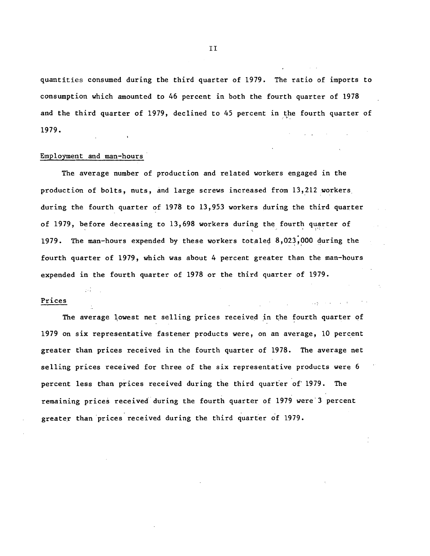quantities consumed during the third quarter of 1979. The ratio of imports to consumption which amounted to 46 percent in both the fourth quarter of 1978 and the third quarter of 1979, declined to 45 percent in the fourth quarter of 1979.

#### Employment and man-hours

 $\mathbb{P}^1$  .

The average number of production and related workers engaged in the production of bolts, nuts, and large screws increased from  $13,212$  workers during the fourth quarter of 1978 to 13,953 workers during the third quarter of 1979, before decreasing to 13,698 workers during the fourth quarter of 1979. The man-hours expended by these workers totaled  $8,023,000$  during the fourth quarter of 1979, which was about 4 percent greater than the man-hours expended in the fourth quarter of 1978 or the third quarter of 1979.

#### Prices

The average lowest net selling prices received in the fourth quarter of 1979 on six representative fastener products were, on an average, 10 percent greater than prices received in the fourth quarter of 1978. The average net selling prices received for three of the six representative products were 6 percent less than prices received during the third quarter of 1979. The remaining prices received during the fourth quarter of 1979 were'3 percent greater than prices received during the third quarter of 1979.

II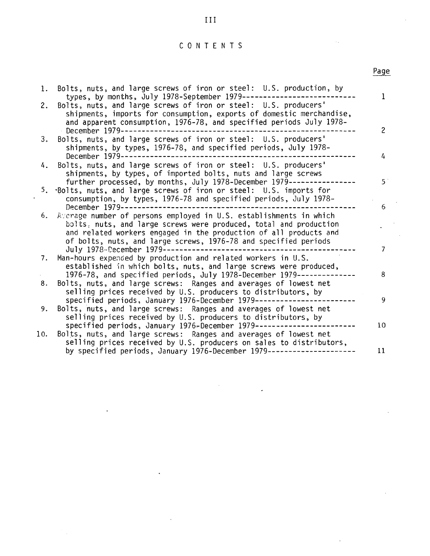# C 0 N T E N T S

Page

 $\mathcal{A}_{\mathcal{A}}$ 

| 1.  | Bolts, nuts, and large screws of iron or steel: U.S. production, by                                                                                                                        |
|-----|--------------------------------------------------------------------------------------------------------------------------------------------------------------------------------------------|
| 2.  | types, by months, July 1978-September 1979-----<br>Bolts, nuts, and large screws of iron or steel: U.S. producers'<br>shipments, imports for consumption, exports of domestic merchandise, |
|     | and apparent consumption, 1976-78, and specified periods July 1978-<br>December 1979---                                                                                                    |
| 3.  | Bolts, nuts, and large screws of iron or steel: U.S. producers'                                                                                                                            |
|     | shipments, by types, 1976-78, and specified periods, July 1978-<br>December 1979-                                                                                                          |
| 4.  | Bolts, nuts, and large screws of iron or steel: U.S. producers'                                                                                                                            |
|     | shipments, by types, of imported bolts, nuts and large screws<br>further processed, by months, July 1978-December 1979----                                                                 |
|     | 5. Bolts, nuts, and large screws of iron or steel: U.S. imports for                                                                                                                        |
|     | consumption, by types, 1976-78 and specified periods, July 1978-                                                                                                                           |
|     | December 1979-                                                                                                                                                                             |
| 6.  | Average number of persons employed in U.S. establishments in which                                                                                                                         |
|     | bolts, nuts, and large screws were produced, total and production                                                                                                                          |
|     | and related workers engaged in the production of all products and                                                                                                                          |
|     | of bolts, nuts, and large screws, 1976-78 and specified periods                                                                                                                            |
|     | July 1978-December 1979-----                                                                                                                                                               |
| 7.  | Man-hours expended by production and related workers in U.S.                                                                                                                               |
|     | established in which bolts, nuts, and large screws were produced,                                                                                                                          |
|     | 1976-78, and specified periods, July 1978-December 1979----                                                                                                                                |
| 8.  | Bolts, nuts, and large screws: Ranges and averages of lowest net                                                                                                                           |
|     | selling prices received by U.S. producers to distributors, by                                                                                                                              |
|     | specified periods, January 1976-December 1979--                                                                                                                                            |
| 9.  | Bolts, nuts, and large screws: Ranges and averages of lowest net                                                                                                                           |
|     | selling prices received by U.S. producers to distributors, by<br>10                                                                                                                        |
| 10. | specified periods, January 1976-December 1979---<br>Bolts, nuts, and large screws: Ranges and averages of lowest net                                                                       |
|     | selling prices received by U.S. producers on sales to distributors,                                                                                                                        |
|     | by specified periods, January 1976-December 1979-----------------<br>11                                                                                                                    |
|     |                                                                                                                                                                                            |

 $\overline{a}$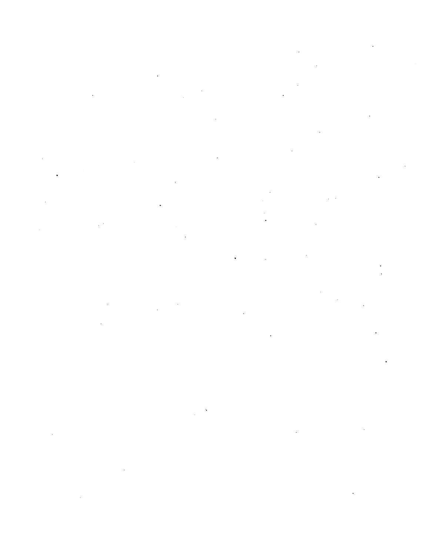$\label{eq:2.1} \frac{1}{\sqrt{2}}\int_{0}^{\infty}\frac{1}{\sqrt{2\pi}}\left(\frac{1}{\sqrt{2\pi}}\right)^{2}d\mu_{\rm{max}}\,.$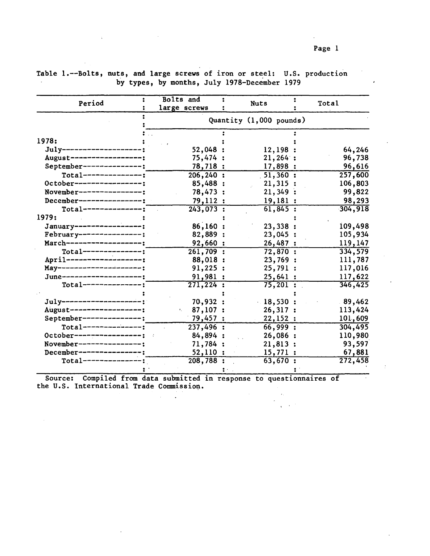$\mathcal{L}$ 

| Period                   |  | Bolts and    | <b>Nuts</b>             | Total   |
|--------------------------|--|--------------|-------------------------|---------|
|                          |  | large screws |                         |         |
|                          |  |              | Quantity (1,000 pounds) |         |
|                          |  |              |                         |         |
| 1978:                    |  |              |                         |         |
| July-----------------    |  | 52,048       | 12,198                  | 64,246  |
| August---------------    |  | 75,474 :     | 21,264:                 | 96,738  |
| September------------    |  | 78,718 :     | 17,898:                 | 96,616  |
| $Total-----$             |  | 206,240 :    | 51,360:                 | 257,600 |
| $October-----$           |  | 85,488 :     | 21,315:                 | 106,803 |
| November----------       |  | 78,473:      | 21,349:                 | 99,822  |
| December----------       |  | 79,112 :     | 19,181:                 | 98,293  |
| $Total-----$             |  | 243,073:     | 61,845:                 | 304,918 |
| 1979:                    |  |              |                         |         |
| January---------------   |  | 86,160:      | 23,338 :                | 109,498 |
| February-------------    |  | 82,889 :     | 23,045:                 | 105,934 |
| March-----------------   |  | 92,660:      | 26,487:                 | 119,147 |
| $Total-----$             |  | 261,709:     | 72,870:                 | 334,579 |
| April----------------    |  | 88,018 :     | 23,769:                 | 111,787 |
| May-------------------   |  | 91,225:      | 25,791:                 | 117,016 |
| June------------------   |  | 91,981:      | 25,641:                 | 117,622 |
| $Total-----$             |  | 271,224:     | 75,201:                 | 346,425 |
|                          |  |              |                         |         |
| July-------------------- |  | 70,932 :     | 18,530:                 | 89,462  |
| August---------------    |  | 87,107:      | 26,317:                 | 113,424 |
| September--------------; |  | 79,457:      | 22,152:                 | 101,609 |
| $Total-----$             |  | 237,496 :    | 66,999 :                | 304,495 |
| October-------------     |  | 84,894 :     | 26,086:                 | 110,980 |
| November-----------      |  | 71,784:      | 21,813:                 | 93,597  |
| December-------------    |  | 52,110:      | 15,771:                 | 67,881  |
| $Total-----$             |  | 208,788:     | 63,670:                 | 272,458 |
|                          |  |              |                         |         |

Table 1.--Bolts, nuts, and large screws of iron or steel: U.S. production<br>by types, by months, July 1978-December 1979 by types, by months, July 1978-December 1979

 $\overline{1}$ 

Source: Compiled from data submitted in response to questionnaires of the U.S. International Trade Commission.

 $\hat{A}$ 

 $\ddot{\phantom{0}}$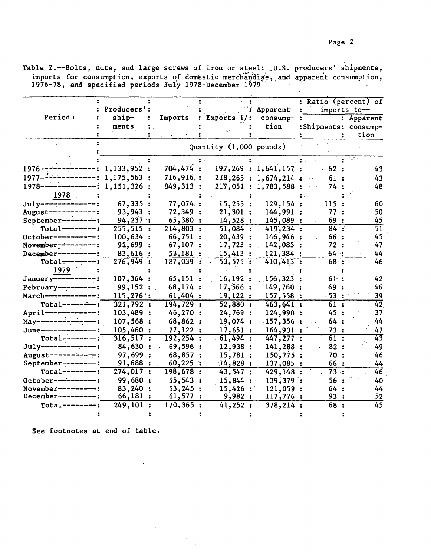Table 2.--Bolts, nuts, and large screws of iron or steel: \_U.S. producers' shipments, imports for consumption, exports of domestic merchandise, and apparent consumption,  $1976-78$ , and specified periods July 1978-December  $1979$ 

|                                  |              |                        |                                |                       | Ratio (percent) of         |                 |
|----------------------------------|--------------|------------------------|--------------------------------|-----------------------|----------------------------|-----------------|
|                                  | Producers':  |                        |                                | Apparent              | imports to--               |                 |
| Period +                         | ship-        | Imports                | : Exports $1/$ :               | consump-              |                            | : Apparent      |
|                                  | ments        |                        |                                | tion                  | :Shipments: consump-       |                 |
|                                  |              |                        |                                |                       |                            | tion            |
|                                  |              |                        | Quantity (1,000 pounds)        |                       |                            |                 |
|                                  |              |                        |                                |                       |                            |                 |
| $1976 -$                         | 1,133,952:   | 704,474:               |                                | 197,269 : 1,641,157 : | 62 :                       | 43              |
| $1977 -$                         | 1, 175, 563: | 716,916.:              |                                | 218,265 : 1,674,214 : | 61:                        | 43              |
| $1978 -$                         | 1,151,326:   | 849,313 :              |                                | 217,051 : 1,783,588 : | 74                         | 48              |
| $1978$ .                         |              |                        |                                |                       |                            |                 |
| $July-------------1$             | 67,335:      | $77,074.$ :            | 15,255:                        | 129,154 :             | 115                        | 60              |
| August-----------;               | 93,943 :     | 72,349:                | 21,301:                        | 144,991 :             | 77:                        | 50              |
| September--------:               | 94, 237:     | 65,380:                | 14,528:                        | 145,089:              | 69:<br>$\omega = \omega$ . | 45              |
| $Total-----$                     | 255, 515:    | $\overline{214,803}$ : | 51,084:                        | 419, 234:             | 84:                        | 51              |
| October----------:               | 100,634      | 66,751:                | 20,439:                        | 146,946 :             | 66 :                       | 45              |
| November----------:              | 92,699 :     | 67,107:                | 17,723<br>$\ddot{\phantom{a}}$ | 142,083:              | 72:                        | 47              |
| December---------:               | 83,616 :     | 53,181 :               | 15,413:                        | 121,384 :             | 64:                        | 44              |
| $Total-----$                     | 276,949:     | 187,039:               | 53,575:                        | 410,413:              | 68 :                       | 46              |
| 1979                             |              |                        |                                |                       |                            |                 |
| January--------                  | 107,364 :    | 65,151:                | 16, 192:                       | .156,323:             | $61:$ :                    | 42              |
| $February-------:$               | 99,152:      | 68,174 :               | 17,566:                        | 149,760:              | 69:                        | 46              |
| $March----------:$               | $115, 276$ : | 61,404:                | 19,122:                        | 157,558 :             | $-53:$                     | 39              |
| $Total-----$                     | 321,792:     | 194,729:               | 52,880:                        | 463,641:              | 61:                        | $\overline{42}$ |
| April-------------:              | 103,489 :    | 46,270 :               | 24,769:                        | 124,990 :             | 45 :                       | 37              |
| May-------------                 | 107,568:     | 68,862 :               | 19,074:                        | .157,356:             | 64 :                       | 44              |
| June------------                 | 105,460:     | 77,122:                | 17,651:                        | 164,931 :             | 73:                        | 47              |
| $Total-----:$                    | 316,517:     | 192,254:               | 61,494:                        | 447,277:              | $61$ :                     | 43              |
| July------ <del>--------</del> : | 84,630:      | 69,596 :               | 12,938:                        | 141,288 :             | 82:                        | 49              |
| August-----------:               | 97,699 :     | 68,857.:               | 15,781:                        | 150,775:              | 70                         | 46              |
| September--------:               | 91,688:      | 60,225:                | 14,828:                        | 137,085 :             | 66 :                       | 44              |
| $Total-----:$                    | 274,017:     | 198,678 :              | 43,547:                        | 429,148:              | 73:                        | 46              |
| October----------:               | 99,680 :     | 55,543:                | $15,844$ :                     | $139,379.$ :          | 56                         | 40              |
| November---------:               | 83,240:      | 53,245:                | 15,426:                        | 121,059 :             | 64 :                       | 44              |
| $December-----$                  | 66,181 :     | 61,577:                | 9,982:                         | 117,776:              | 93 :                       | 52              |
| $Total-----:$                    | 249,101 :    | 170,365:               | 41,252:                        | 378,214:              | 68 :                       | $\overline{45}$ |
|                                  |              |                        |                                |                       |                            |                 |

See footnotes at end of table.

 $\sim 10$ 

 $\mathcal{A}^{\text{max}}$ 

 $\ddot{\phantom{1}}$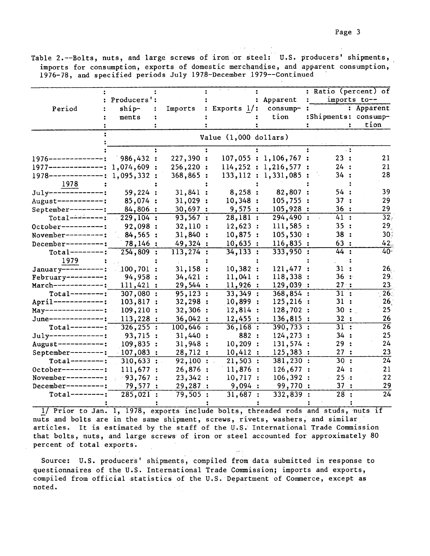Table 2.--Bolts, nuts, and large screws of iron or steel: U.S. producers' shipments, imports for consumption, exports of domestic merchandise, and apparent consumption, 1976-78, and specified periods July 1978-December 1979--Continued

|                       |              |           |                         |                       | : Ratio (percent) of |                 |
|-----------------------|--------------|-----------|-------------------------|-----------------------|----------------------|-----------------|
|                       | Producers':  |           |                         | Apparent              |                      | imports to--    |
| Period                | $ship-$      | Imports   | : Exports $1/$ :        | consump-              |                      | : Apparent      |
|                       | ments        |           |                         | tion                  | :Shipments: consump- |                 |
|                       |              |           |                         |                       | $\ddot{\cdot}$       | tion            |
|                       |              |           | Value $(1,000$ dollars) |                       |                      |                 |
|                       |              |           |                         |                       |                      |                 |
|                       |              |           |                         |                       | $\cdot$ :            |                 |
| $1976$ -------------; | 986,432 :    | 227,390:  |                         | 107,055:1,106,767:    | 23:                  | 21              |
| $1977$ -------------: | 1,074,609:   | 256, 220: |                         | 114,252 : 1,216,577 : | 24:                  | 21              |
| 1978-------------:    | 1,095,332:   | 368,865:  |                         | 133,112:1,331,085:    | 34:                  | 28              |
| 1978                  |              |           |                         |                       |                      |                 |
| $July-----$           | 59,224:      | 31,841    | 8,258:                  | 82,807 :              | 54 :                 | 39              |
| August-----------:    | 85,074:      | 31,029:   | 10,348:                 | 105,755:              | 37:                  | 29              |
| September--------:    | 84,806:      | 30,697:   | 9,575:                  | 105,928:              | 36:                  | 29              |
| $Total-----:$         | 229,104:     | 93,567:   | 28,181:                 | 294,490 :             | 41 :                 | 32.             |
| October----------:    | 92,098 :     | 32,110:   | 12,623:                 | 111,585:              | 35:                  | $29^\circ$      |
| November---------:    | 84,565:      | 31,840:   | 10,875:                 | 105,530:              | 38:                  | $30^{\circ}$    |
| $December-----$ :     | 78,146 :     | 49,324 :  | 10,635:                 | 116,835:              | 63:                  | $42^{11}$       |
| $Total-----:$         | $254,809$ :  | 113,274:  | 34,133:                 | 333,950:              | 44 :                 | 40⊬             |
| 1979                  |              |           |                         |                       |                      |                 |
| January----------:    | $100, 701$ : | 31,158:   | 10,382:                 | 121,477 :             | 31:                  | 26.             |
| $February-----$ :     | 94,958 :     | 34,421:   | 11,041:                 | 118,338:              | 36:                  | 29.             |
| March------------:    | 111,421:     | 29,544:   | 11,926 :                | 129,039 :             | 27:                  | 23 <sub>1</sub> |
| $Total-----:$         | 307,080 :    | 95, 123:  | 33,349:                 | 368,854:              | 31:                  | 26              |
| $April-----$          | 103,817 :    | 32,298:   | 10,899:                 | 125, 216:             | 31:                  | 26 <sub>1</sub> |
| May--------------:    | 109, 210:    | 32,306:   | 12,814:                 | 128,702 :             | 30:                  | 25              |
| June-------------:    | 113,228 :    | 36,042:   | 12,455:                 | 136,815 :             | 32:                  | 26              |
| $Total-----:$         | 326, 255:    | 100,646:  | 36,168:                 | $390, 733$ :          | 31:                  | $\overline{26}$ |
| $July-----$           | 93,715:      | 31,440:   | 882 :                   | 124,273 :             | 34:                  | 25              |
| August-----------:    | 109,835:     | 31,948:   | 10,209:                 | 131,574 :             | 29:                  | 24              |
| September--------:    | 107,083:     | 28,712 :  | 10,412:                 | 125,383:              | 27:                  | 23              |
| $Total-----:$         | $310,633$ :  | 92,100:   | 21,503:                 | 381, 230:             | 30 :                 | 24              |
| $October--------$     | 111,677:     | 26,876 :  | 11,876 :                | 126,677 :             | 24:                  | 21              |
| November---------:    | .93,767:     | 23,342:   | 10,717:                 | 106,392:              | 25:                  | $22 \,$         |
| $December-----$ :     | $-79,577:$   | 29,287:   | 9,094:                  | 99,770:               | 37 :                 | 29              |
| $Total-----:$         | 285,021:     | 79,505:   | 31,687:                 | 332,839 :             | 28:                  | $\overline{24}$ |
|                       |              |           |                         |                       |                      |                 |

1/ Prior to Jan. 1, 1978, exports include bolts, threaded rods and studs, nuts if nuts and bolts are in the same shipment, screws, rivets, washers, and similar articles. It is estimated by the staff of the U.S. International Trade Commission that bolts, nuts, and large screws of iron or steel accounted for approximately 80 percent of total exports.

 $\langle \rho | \rho \rangle$  .

Source: U.S. producers' shipments, compiled from data submitted in response to questionnaires of the U.S. International Trade Commission; imports and exports, compiled from official statistics of the U.S. Department of Commerce, except as noted.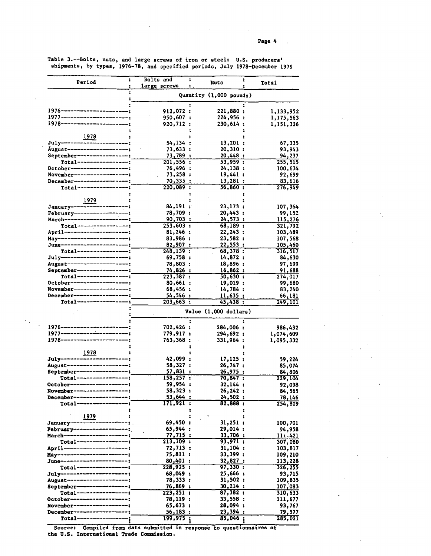$\sim$ 

Table 3.--Bolts, nuts, and large screws of iron or steel: U.S. producers' shipments, by types, 1976-78, and specified periods, July 1978-December 1979

 $\ddot{\phantom{a}}$ 

| Quantity (1,000 pounds)<br>-----------------------<br>221,880:<br>912,072 :<br>1,133,952<br>1977 <del>-----------------------</del><br>950,607 :<br>224,956:<br>1,175,563<br>1978---------------------<br>230,614:<br>920,712 :<br>1,151,326<br>1978<br>July--------<br><br>54,134 :<br>13,201 :<br>67,335<br>August--------------------;<br>20,310:<br>93,943<br>73,633 :<br><b>September----------------:</b><br>73,789 :<br>20,448:<br>94,237<br>Total----------------:<br>201,556 :<br>53,959 :<br>255,515<br>October-------------------:<br>76,496 :<br>24,138 :<br>November------------------;<br>19,441:<br>73,258 :<br>92,699<br>70,335:<br>13,281:<br>December------------------;<br>83,616<br>220,089:<br>Total----------------:<br>56,860 :<br>276,949<br><u> 1979</u><br>January----------------<br>84,191:<br>23,173 :<br>78,709:<br>20,443:<br>February------------------:<br>99,152<br>March---------------------;<br>90,703 :<br>24,573 :<br>253,603:<br>Total-----------------;<br>68,189:<br>321,792<br>April ----------------------;<br>81,246:<br>22,243:<br>103,489<br>83,986:<br>23,582:<br>May-------------------------<br>107,568<br>June---------------------;<br>82,907:<br>22,553:<br>105,460<br>Total------------------<br>68,378 :<br>316, 517<br>248,139 :<br>July------------------------;<br>69,758 :<br>14,872:<br>84,630<br>August--------------------;<br>78,803:<br>18,896:<br>97,699<br>September-----------------;<br>74,826 :<br>16,862:<br>91,688<br>$Total-----$<br>223,387:<br>50,630:<br>274,017<br>October------------------;<br>80,661 :<br>19,019:<br>99,680<br>November-------------------<br>68,456 :<br>14,784 :<br>83,240<br>December------------------:<br>54,546:<br>11,635:<br>66,181<br>Total----------------<br>203,663 :<br>$\overline{249,101}$<br>45,438 :<br>Value (1,000 dollars)<br>1976----------------------<br>702,426 :<br><b>284,006 :</b><br>986,432<br>1977------------------------<br>779,917 :<br>294,692 :<br>1,074,609<br>1978-----------------------<br>763,368<br>331,964 :<br>1,095,332<br><u> 1978 </u><br>July--------<br>42,099<br>17,125:<br>59,224<br>August--------------------;<br>58,327 :<br>26,747:<br>85,074<br>September----------------;<br>57,831 :<br>26,975 :<br>84,806<br>$Total$ -----------------:<br>$158, 257$ :<br>70,847 :<br>229,104<br>October-------------------<br>59,954 :<br>32,144:<br>92,098<br>58,323:<br>26,242:<br>84,565<br>November---------<br>53,644 :<br>December--------------<br>24,502 :<br>78,146<br>$Total-----$<br>171,921 :<br>82,888 :<br><u> 1979 </u><br>69,450<br>31,251 :<br>January--------<br>100,701<br>:<br>65,944 :<br>29,014:<br>94,958<br>February--------------<br>77,715 :<br>March---------------------;<br>33,706 :<br>111,421<br><b>Total-------------</b><br>213,109 :<br>93,971:<br>307,080<br>April----------------------;<br>72,713 :<br>31,104 :<br>103,817<br>May-------------------<br>75,811 :<br>33,399:<br>109,210<br>80,401<br>June------------------<br>32,827 :<br>113,228<br>- :<br>$Total$ ------------<br>228,925 :<br>97,330:<br>326,255<br>July----------------------;<br>68,049 :<br>25,666 :<br>93,715<br>August----------------<br>78,333:<br>31,502 :<br>109,835<br>30,214:<br>September-----------------;<br>76,869 :<br>107,083<br>$Total$ -------------<br>87,382:<br>223,251 :<br>310,633<br>October-------------------<br>78,119:<br>33,558 :<br>111,677<br>November----------------<br>65,673 :<br>28,094:<br>93,767<br>23,394:<br>December----------------<br>56,183 :<br>79,577<br>$Total-----$<br>199,975 <u>:</u><br>85,046;<br>285,021 | :<br>Period | Bolts and<br>:<br>large screws<br>፡ | Nuts | Total   |
|-------------------------------------------------------------------------------------------------------------------------------------------------------------------------------------------------------------------------------------------------------------------------------------------------------------------------------------------------------------------------------------------------------------------------------------------------------------------------------------------------------------------------------------------------------------------------------------------------------------------------------------------------------------------------------------------------------------------------------------------------------------------------------------------------------------------------------------------------------------------------------------------------------------------------------------------------------------------------------------------------------------------------------------------------------------------------------------------------------------------------------------------------------------------------------------------------------------------------------------------------------------------------------------------------------------------------------------------------------------------------------------------------------------------------------------------------------------------------------------------------------------------------------------------------------------------------------------------------------------------------------------------------------------------------------------------------------------------------------------------------------------------------------------------------------------------------------------------------------------------------------------------------------------------------------------------------------------------------------------------------------------------------------------------------------------------------------------------------------------------------------------------------------------------------------------------------------------------------------------------------------------------------------------------------------------------------------------------------------------------------------------------------------------------------------------------------------------------------------------------------------------------------------------------------------------------------------------------------------------------------------------------------------------------------------------------------------------------------------------------------------------------------------------------------------------------------------------------------------------------------------------------------------------------------------------------------------------------------------------------------------------------------------------------------------------------------------------------------------------------------------------------------------------------------------------------------------------------------------------------------------------------------------------------------------------------------------------------------------------------------------------------------------------------------------------------------------------------------------------------------------------------------------------------------------------------------------------------------------------------|-------------|-------------------------------------|------|---------|
|                                                                                                                                                                                                                                                                                                                                                                                                                                                                                                                                                                                                                                                                                                                                                                                                                                                                                                                                                                                                                                                                                                                                                                                                                                                                                                                                                                                                                                                                                                                                                                                                                                                                                                                                                                                                                                                                                                                                                                                                                                                                                                                                                                                                                                                                                                                                                                                                                                                                                                                                                                                                                                                                                                                                                                                                                                                                                                                                                                                                                                                                                                                                                                                                                                                                                                                                                                                                                                                                                                                                                                                                                   |             |                                     |      |         |
|                                                                                                                                                                                                                                                                                                                                                                                                                                                                                                                                                                                                                                                                                                                                                                                                                                                                                                                                                                                                                                                                                                                                                                                                                                                                                                                                                                                                                                                                                                                                                                                                                                                                                                                                                                                                                                                                                                                                                                                                                                                                                                                                                                                                                                                                                                                                                                                                                                                                                                                                                                                                                                                                                                                                                                                                                                                                                                                                                                                                                                                                                                                                                                                                                                                                                                                                                                                                                                                                                                                                                                                                                   |             |                                     |      |         |
|                                                                                                                                                                                                                                                                                                                                                                                                                                                                                                                                                                                                                                                                                                                                                                                                                                                                                                                                                                                                                                                                                                                                                                                                                                                                                                                                                                                                                                                                                                                                                                                                                                                                                                                                                                                                                                                                                                                                                                                                                                                                                                                                                                                                                                                                                                                                                                                                                                                                                                                                                                                                                                                                                                                                                                                                                                                                                                                                                                                                                                                                                                                                                                                                                                                                                                                                                                                                                                                                                                                                                                                                                   |             |                                     |      |         |
|                                                                                                                                                                                                                                                                                                                                                                                                                                                                                                                                                                                                                                                                                                                                                                                                                                                                                                                                                                                                                                                                                                                                                                                                                                                                                                                                                                                                                                                                                                                                                                                                                                                                                                                                                                                                                                                                                                                                                                                                                                                                                                                                                                                                                                                                                                                                                                                                                                                                                                                                                                                                                                                                                                                                                                                                                                                                                                                                                                                                                                                                                                                                                                                                                                                                                                                                                                                                                                                                                                                                                                                                                   |             |                                     |      |         |
|                                                                                                                                                                                                                                                                                                                                                                                                                                                                                                                                                                                                                                                                                                                                                                                                                                                                                                                                                                                                                                                                                                                                                                                                                                                                                                                                                                                                                                                                                                                                                                                                                                                                                                                                                                                                                                                                                                                                                                                                                                                                                                                                                                                                                                                                                                                                                                                                                                                                                                                                                                                                                                                                                                                                                                                                                                                                                                                                                                                                                                                                                                                                                                                                                                                                                                                                                                                                                                                                                                                                                                                                                   |             |                                     |      |         |
|                                                                                                                                                                                                                                                                                                                                                                                                                                                                                                                                                                                                                                                                                                                                                                                                                                                                                                                                                                                                                                                                                                                                                                                                                                                                                                                                                                                                                                                                                                                                                                                                                                                                                                                                                                                                                                                                                                                                                                                                                                                                                                                                                                                                                                                                                                                                                                                                                                                                                                                                                                                                                                                                                                                                                                                                                                                                                                                                                                                                                                                                                                                                                                                                                                                                                                                                                                                                                                                                                                                                                                                                                   |             |                                     |      |         |
|                                                                                                                                                                                                                                                                                                                                                                                                                                                                                                                                                                                                                                                                                                                                                                                                                                                                                                                                                                                                                                                                                                                                                                                                                                                                                                                                                                                                                                                                                                                                                                                                                                                                                                                                                                                                                                                                                                                                                                                                                                                                                                                                                                                                                                                                                                                                                                                                                                                                                                                                                                                                                                                                                                                                                                                                                                                                                                                                                                                                                                                                                                                                                                                                                                                                                                                                                                                                                                                                                                                                                                                                                   |             |                                     |      |         |
|                                                                                                                                                                                                                                                                                                                                                                                                                                                                                                                                                                                                                                                                                                                                                                                                                                                                                                                                                                                                                                                                                                                                                                                                                                                                                                                                                                                                                                                                                                                                                                                                                                                                                                                                                                                                                                                                                                                                                                                                                                                                                                                                                                                                                                                                                                                                                                                                                                                                                                                                                                                                                                                                                                                                                                                                                                                                                                                                                                                                                                                                                                                                                                                                                                                                                                                                                                                                                                                                                                                                                                                                                   |             |                                     |      |         |
|                                                                                                                                                                                                                                                                                                                                                                                                                                                                                                                                                                                                                                                                                                                                                                                                                                                                                                                                                                                                                                                                                                                                                                                                                                                                                                                                                                                                                                                                                                                                                                                                                                                                                                                                                                                                                                                                                                                                                                                                                                                                                                                                                                                                                                                                                                                                                                                                                                                                                                                                                                                                                                                                                                                                                                                                                                                                                                                                                                                                                                                                                                                                                                                                                                                                                                                                                                                                                                                                                                                                                                                                                   |             |                                     |      |         |
|                                                                                                                                                                                                                                                                                                                                                                                                                                                                                                                                                                                                                                                                                                                                                                                                                                                                                                                                                                                                                                                                                                                                                                                                                                                                                                                                                                                                                                                                                                                                                                                                                                                                                                                                                                                                                                                                                                                                                                                                                                                                                                                                                                                                                                                                                                                                                                                                                                                                                                                                                                                                                                                                                                                                                                                                                                                                                                                                                                                                                                                                                                                                                                                                                                                                                                                                                                                                                                                                                                                                                                                                                   |             |                                     |      | 100,634 |
|                                                                                                                                                                                                                                                                                                                                                                                                                                                                                                                                                                                                                                                                                                                                                                                                                                                                                                                                                                                                                                                                                                                                                                                                                                                                                                                                                                                                                                                                                                                                                                                                                                                                                                                                                                                                                                                                                                                                                                                                                                                                                                                                                                                                                                                                                                                                                                                                                                                                                                                                                                                                                                                                                                                                                                                                                                                                                                                                                                                                                                                                                                                                                                                                                                                                                                                                                                                                                                                                                                                                                                                                                   |             |                                     |      |         |
|                                                                                                                                                                                                                                                                                                                                                                                                                                                                                                                                                                                                                                                                                                                                                                                                                                                                                                                                                                                                                                                                                                                                                                                                                                                                                                                                                                                                                                                                                                                                                                                                                                                                                                                                                                                                                                                                                                                                                                                                                                                                                                                                                                                                                                                                                                                                                                                                                                                                                                                                                                                                                                                                                                                                                                                                                                                                                                                                                                                                                                                                                                                                                                                                                                                                                                                                                                                                                                                                                                                                                                                                                   |             |                                     |      |         |
|                                                                                                                                                                                                                                                                                                                                                                                                                                                                                                                                                                                                                                                                                                                                                                                                                                                                                                                                                                                                                                                                                                                                                                                                                                                                                                                                                                                                                                                                                                                                                                                                                                                                                                                                                                                                                                                                                                                                                                                                                                                                                                                                                                                                                                                                                                                                                                                                                                                                                                                                                                                                                                                                                                                                                                                                                                                                                                                                                                                                                                                                                                                                                                                                                                                                                                                                                                                                                                                                                                                                                                                                                   |             |                                     |      |         |
|                                                                                                                                                                                                                                                                                                                                                                                                                                                                                                                                                                                                                                                                                                                                                                                                                                                                                                                                                                                                                                                                                                                                                                                                                                                                                                                                                                                                                                                                                                                                                                                                                                                                                                                                                                                                                                                                                                                                                                                                                                                                                                                                                                                                                                                                                                                                                                                                                                                                                                                                                                                                                                                                                                                                                                                                                                                                                                                                                                                                                                                                                                                                                                                                                                                                                                                                                                                                                                                                                                                                                                                                                   |             |                                     |      |         |
|                                                                                                                                                                                                                                                                                                                                                                                                                                                                                                                                                                                                                                                                                                                                                                                                                                                                                                                                                                                                                                                                                                                                                                                                                                                                                                                                                                                                                                                                                                                                                                                                                                                                                                                                                                                                                                                                                                                                                                                                                                                                                                                                                                                                                                                                                                                                                                                                                                                                                                                                                                                                                                                                                                                                                                                                                                                                                                                                                                                                                                                                                                                                                                                                                                                                                                                                                                                                                                                                                                                                                                                                                   |             |                                     |      | 107,364 |
|                                                                                                                                                                                                                                                                                                                                                                                                                                                                                                                                                                                                                                                                                                                                                                                                                                                                                                                                                                                                                                                                                                                                                                                                                                                                                                                                                                                                                                                                                                                                                                                                                                                                                                                                                                                                                                                                                                                                                                                                                                                                                                                                                                                                                                                                                                                                                                                                                                                                                                                                                                                                                                                                                                                                                                                                                                                                                                                                                                                                                                                                                                                                                                                                                                                                                                                                                                                                                                                                                                                                                                                                                   |             |                                     |      |         |
|                                                                                                                                                                                                                                                                                                                                                                                                                                                                                                                                                                                                                                                                                                                                                                                                                                                                                                                                                                                                                                                                                                                                                                                                                                                                                                                                                                                                                                                                                                                                                                                                                                                                                                                                                                                                                                                                                                                                                                                                                                                                                                                                                                                                                                                                                                                                                                                                                                                                                                                                                                                                                                                                                                                                                                                                                                                                                                                                                                                                                                                                                                                                                                                                                                                                                                                                                                                                                                                                                                                                                                                                                   |             |                                     |      | 115,276 |
|                                                                                                                                                                                                                                                                                                                                                                                                                                                                                                                                                                                                                                                                                                                                                                                                                                                                                                                                                                                                                                                                                                                                                                                                                                                                                                                                                                                                                                                                                                                                                                                                                                                                                                                                                                                                                                                                                                                                                                                                                                                                                                                                                                                                                                                                                                                                                                                                                                                                                                                                                                                                                                                                                                                                                                                                                                                                                                                                                                                                                                                                                                                                                                                                                                                                                                                                                                                                                                                                                                                                                                                                                   |             |                                     |      |         |
|                                                                                                                                                                                                                                                                                                                                                                                                                                                                                                                                                                                                                                                                                                                                                                                                                                                                                                                                                                                                                                                                                                                                                                                                                                                                                                                                                                                                                                                                                                                                                                                                                                                                                                                                                                                                                                                                                                                                                                                                                                                                                                                                                                                                                                                                                                                                                                                                                                                                                                                                                                                                                                                                                                                                                                                                                                                                                                                                                                                                                                                                                                                                                                                                                                                                                                                                                                                                                                                                                                                                                                                                                   |             |                                     |      |         |
|                                                                                                                                                                                                                                                                                                                                                                                                                                                                                                                                                                                                                                                                                                                                                                                                                                                                                                                                                                                                                                                                                                                                                                                                                                                                                                                                                                                                                                                                                                                                                                                                                                                                                                                                                                                                                                                                                                                                                                                                                                                                                                                                                                                                                                                                                                                                                                                                                                                                                                                                                                                                                                                                                                                                                                                                                                                                                                                                                                                                                                                                                                                                                                                                                                                                                                                                                                                                                                                                                                                                                                                                                   |             |                                     |      |         |
|                                                                                                                                                                                                                                                                                                                                                                                                                                                                                                                                                                                                                                                                                                                                                                                                                                                                                                                                                                                                                                                                                                                                                                                                                                                                                                                                                                                                                                                                                                                                                                                                                                                                                                                                                                                                                                                                                                                                                                                                                                                                                                                                                                                                                                                                                                                                                                                                                                                                                                                                                                                                                                                                                                                                                                                                                                                                                                                                                                                                                                                                                                                                                                                                                                                                                                                                                                                                                                                                                                                                                                                                                   |             |                                     |      |         |
|                                                                                                                                                                                                                                                                                                                                                                                                                                                                                                                                                                                                                                                                                                                                                                                                                                                                                                                                                                                                                                                                                                                                                                                                                                                                                                                                                                                                                                                                                                                                                                                                                                                                                                                                                                                                                                                                                                                                                                                                                                                                                                                                                                                                                                                                                                                                                                                                                                                                                                                                                                                                                                                                                                                                                                                                                                                                                                                                                                                                                                                                                                                                                                                                                                                                                                                                                                                                                                                                                                                                                                                                                   |             |                                     |      |         |
|                                                                                                                                                                                                                                                                                                                                                                                                                                                                                                                                                                                                                                                                                                                                                                                                                                                                                                                                                                                                                                                                                                                                                                                                                                                                                                                                                                                                                                                                                                                                                                                                                                                                                                                                                                                                                                                                                                                                                                                                                                                                                                                                                                                                                                                                                                                                                                                                                                                                                                                                                                                                                                                                                                                                                                                                                                                                                                                                                                                                                                                                                                                                                                                                                                                                                                                                                                                                                                                                                                                                                                                                                   |             |                                     |      |         |
|                                                                                                                                                                                                                                                                                                                                                                                                                                                                                                                                                                                                                                                                                                                                                                                                                                                                                                                                                                                                                                                                                                                                                                                                                                                                                                                                                                                                                                                                                                                                                                                                                                                                                                                                                                                                                                                                                                                                                                                                                                                                                                                                                                                                                                                                                                                                                                                                                                                                                                                                                                                                                                                                                                                                                                                                                                                                                                                                                                                                                                                                                                                                                                                                                                                                                                                                                                                                                                                                                                                                                                                                                   |             |                                     |      |         |
|                                                                                                                                                                                                                                                                                                                                                                                                                                                                                                                                                                                                                                                                                                                                                                                                                                                                                                                                                                                                                                                                                                                                                                                                                                                                                                                                                                                                                                                                                                                                                                                                                                                                                                                                                                                                                                                                                                                                                                                                                                                                                                                                                                                                                                                                                                                                                                                                                                                                                                                                                                                                                                                                                                                                                                                                                                                                                                                                                                                                                                                                                                                                                                                                                                                                                                                                                                                                                                                                                                                                                                                                                   |             |                                     |      |         |
|                                                                                                                                                                                                                                                                                                                                                                                                                                                                                                                                                                                                                                                                                                                                                                                                                                                                                                                                                                                                                                                                                                                                                                                                                                                                                                                                                                                                                                                                                                                                                                                                                                                                                                                                                                                                                                                                                                                                                                                                                                                                                                                                                                                                                                                                                                                                                                                                                                                                                                                                                                                                                                                                                                                                                                                                                                                                                                                                                                                                                                                                                                                                                                                                                                                                                                                                                                                                                                                                                                                                                                                                                   |             |                                     |      |         |
|                                                                                                                                                                                                                                                                                                                                                                                                                                                                                                                                                                                                                                                                                                                                                                                                                                                                                                                                                                                                                                                                                                                                                                                                                                                                                                                                                                                                                                                                                                                                                                                                                                                                                                                                                                                                                                                                                                                                                                                                                                                                                                                                                                                                                                                                                                                                                                                                                                                                                                                                                                                                                                                                                                                                                                                                                                                                                                                                                                                                                                                                                                                                                                                                                                                                                                                                                                                                                                                                                                                                                                                                                   |             |                                     |      |         |
|                                                                                                                                                                                                                                                                                                                                                                                                                                                                                                                                                                                                                                                                                                                                                                                                                                                                                                                                                                                                                                                                                                                                                                                                                                                                                                                                                                                                                                                                                                                                                                                                                                                                                                                                                                                                                                                                                                                                                                                                                                                                                                                                                                                                                                                                                                                                                                                                                                                                                                                                                                                                                                                                                                                                                                                                                                                                                                                                                                                                                                                                                                                                                                                                                                                                                                                                                                                                                                                                                                                                                                                                                   |             |                                     |      |         |
|                                                                                                                                                                                                                                                                                                                                                                                                                                                                                                                                                                                                                                                                                                                                                                                                                                                                                                                                                                                                                                                                                                                                                                                                                                                                                                                                                                                                                                                                                                                                                                                                                                                                                                                                                                                                                                                                                                                                                                                                                                                                                                                                                                                                                                                                                                                                                                                                                                                                                                                                                                                                                                                                                                                                                                                                                                                                                                                                                                                                                                                                                                                                                                                                                                                                                                                                                                                                                                                                                                                                                                                                                   |             |                                     |      |         |
|                                                                                                                                                                                                                                                                                                                                                                                                                                                                                                                                                                                                                                                                                                                                                                                                                                                                                                                                                                                                                                                                                                                                                                                                                                                                                                                                                                                                                                                                                                                                                                                                                                                                                                                                                                                                                                                                                                                                                                                                                                                                                                                                                                                                                                                                                                                                                                                                                                                                                                                                                                                                                                                                                                                                                                                                                                                                                                                                                                                                                                                                                                                                                                                                                                                                                                                                                                                                                                                                                                                                                                                                                   |             |                                     |      |         |
|                                                                                                                                                                                                                                                                                                                                                                                                                                                                                                                                                                                                                                                                                                                                                                                                                                                                                                                                                                                                                                                                                                                                                                                                                                                                                                                                                                                                                                                                                                                                                                                                                                                                                                                                                                                                                                                                                                                                                                                                                                                                                                                                                                                                                                                                                                                                                                                                                                                                                                                                                                                                                                                                                                                                                                                                                                                                                                                                                                                                                                                                                                                                                                                                                                                                                                                                                                                                                                                                                                                                                                                                                   |             |                                     |      |         |
|                                                                                                                                                                                                                                                                                                                                                                                                                                                                                                                                                                                                                                                                                                                                                                                                                                                                                                                                                                                                                                                                                                                                                                                                                                                                                                                                                                                                                                                                                                                                                                                                                                                                                                                                                                                                                                                                                                                                                                                                                                                                                                                                                                                                                                                                                                                                                                                                                                                                                                                                                                                                                                                                                                                                                                                                                                                                                                                                                                                                                                                                                                                                                                                                                                                                                                                                                                                                                                                                                                                                                                                                                   |             |                                     |      |         |
|                                                                                                                                                                                                                                                                                                                                                                                                                                                                                                                                                                                                                                                                                                                                                                                                                                                                                                                                                                                                                                                                                                                                                                                                                                                                                                                                                                                                                                                                                                                                                                                                                                                                                                                                                                                                                                                                                                                                                                                                                                                                                                                                                                                                                                                                                                                                                                                                                                                                                                                                                                                                                                                                                                                                                                                                                                                                                                                                                                                                                                                                                                                                                                                                                                                                                                                                                                                                                                                                                                                                                                                                                   |             |                                     |      |         |
|                                                                                                                                                                                                                                                                                                                                                                                                                                                                                                                                                                                                                                                                                                                                                                                                                                                                                                                                                                                                                                                                                                                                                                                                                                                                                                                                                                                                                                                                                                                                                                                                                                                                                                                                                                                                                                                                                                                                                                                                                                                                                                                                                                                                                                                                                                                                                                                                                                                                                                                                                                                                                                                                                                                                                                                                                                                                                                                                                                                                                                                                                                                                                                                                                                                                                                                                                                                                                                                                                                                                                                                                                   |             |                                     |      |         |
|                                                                                                                                                                                                                                                                                                                                                                                                                                                                                                                                                                                                                                                                                                                                                                                                                                                                                                                                                                                                                                                                                                                                                                                                                                                                                                                                                                                                                                                                                                                                                                                                                                                                                                                                                                                                                                                                                                                                                                                                                                                                                                                                                                                                                                                                                                                                                                                                                                                                                                                                                                                                                                                                                                                                                                                                                                                                                                                                                                                                                                                                                                                                                                                                                                                                                                                                                                                                                                                                                                                                                                                                                   |             |                                     |      |         |
|                                                                                                                                                                                                                                                                                                                                                                                                                                                                                                                                                                                                                                                                                                                                                                                                                                                                                                                                                                                                                                                                                                                                                                                                                                                                                                                                                                                                                                                                                                                                                                                                                                                                                                                                                                                                                                                                                                                                                                                                                                                                                                                                                                                                                                                                                                                                                                                                                                                                                                                                                                                                                                                                                                                                                                                                                                                                                                                                                                                                                                                                                                                                                                                                                                                                                                                                                                                                                                                                                                                                                                                                                   |             |                                     |      |         |
|                                                                                                                                                                                                                                                                                                                                                                                                                                                                                                                                                                                                                                                                                                                                                                                                                                                                                                                                                                                                                                                                                                                                                                                                                                                                                                                                                                                                                                                                                                                                                                                                                                                                                                                                                                                                                                                                                                                                                                                                                                                                                                                                                                                                                                                                                                                                                                                                                                                                                                                                                                                                                                                                                                                                                                                                                                                                                                                                                                                                                                                                                                                                                                                                                                                                                                                                                                                                                                                                                                                                                                                                                   |             |                                     |      |         |
|                                                                                                                                                                                                                                                                                                                                                                                                                                                                                                                                                                                                                                                                                                                                                                                                                                                                                                                                                                                                                                                                                                                                                                                                                                                                                                                                                                                                                                                                                                                                                                                                                                                                                                                                                                                                                                                                                                                                                                                                                                                                                                                                                                                                                                                                                                                                                                                                                                                                                                                                                                                                                                                                                                                                                                                                                                                                                                                                                                                                                                                                                                                                                                                                                                                                                                                                                                                                                                                                                                                                                                                                                   |             |                                     |      |         |
|                                                                                                                                                                                                                                                                                                                                                                                                                                                                                                                                                                                                                                                                                                                                                                                                                                                                                                                                                                                                                                                                                                                                                                                                                                                                                                                                                                                                                                                                                                                                                                                                                                                                                                                                                                                                                                                                                                                                                                                                                                                                                                                                                                                                                                                                                                                                                                                                                                                                                                                                                                                                                                                                                                                                                                                                                                                                                                                                                                                                                                                                                                                                                                                                                                                                                                                                                                                                                                                                                                                                                                                                                   |             |                                     |      |         |
|                                                                                                                                                                                                                                                                                                                                                                                                                                                                                                                                                                                                                                                                                                                                                                                                                                                                                                                                                                                                                                                                                                                                                                                                                                                                                                                                                                                                                                                                                                                                                                                                                                                                                                                                                                                                                                                                                                                                                                                                                                                                                                                                                                                                                                                                                                                                                                                                                                                                                                                                                                                                                                                                                                                                                                                                                                                                                                                                                                                                                                                                                                                                                                                                                                                                                                                                                                                                                                                                                                                                                                                                                   |             |                                     |      |         |
|                                                                                                                                                                                                                                                                                                                                                                                                                                                                                                                                                                                                                                                                                                                                                                                                                                                                                                                                                                                                                                                                                                                                                                                                                                                                                                                                                                                                                                                                                                                                                                                                                                                                                                                                                                                                                                                                                                                                                                                                                                                                                                                                                                                                                                                                                                                                                                                                                                                                                                                                                                                                                                                                                                                                                                                                                                                                                                                                                                                                                                                                                                                                                                                                                                                                                                                                                                                                                                                                                                                                                                                                                   |             |                                     |      |         |
|                                                                                                                                                                                                                                                                                                                                                                                                                                                                                                                                                                                                                                                                                                                                                                                                                                                                                                                                                                                                                                                                                                                                                                                                                                                                                                                                                                                                                                                                                                                                                                                                                                                                                                                                                                                                                                                                                                                                                                                                                                                                                                                                                                                                                                                                                                                                                                                                                                                                                                                                                                                                                                                                                                                                                                                                                                                                                                                                                                                                                                                                                                                                                                                                                                                                                                                                                                                                                                                                                                                                                                                                                   |             |                                     |      | 254,809 |
|                                                                                                                                                                                                                                                                                                                                                                                                                                                                                                                                                                                                                                                                                                                                                                                                                                                                                                                                                                                                                                                                                                                                                                                                                                                                                                                                                                                                                                                                                                                                                                                                                                                                                                                                                                                                                                                                                                                                                                                                                                                                                                                                                                                                                                                                                                                                                                                                                                                                                                                                                                                                                                                                                                                                                                                                                                                                                                                                                                                                                                                                                                                                                                                                                                                                                                                                                                                                                                                                                                                                                                                                                   |             |                                     |      |         |
|                                                                                                                                                                                                                                                                                                                                                                                                                                                                                                                                                                                                                                                                                                                                                                                                                                                                                                                                                                                                                                                                                                                                                                                                                                                                                                                                                                                                                                                                                                                                                                                                                                                                                                                                                                                                                                                                                                                                                                                                                                                                                                                                                                                                                                                                                                                                                                                                                                                                                                                                                                                                                                                                                                                                                                                                                                                                                                                                                                                                                                                                                                                                                                                                                                                                                                                                                                                                                                                                                                                                                                                                                   |             |                                     |      |         |
|                                                                                                                                                                                                                                                                                                                                                                                                                                                                                                                                                                                                                                                                                                                                                                                                                                                                                                                                                                                                                                                                                                                                                                                                                                                                                                                                                                                                                                                                                                                                                                                                                                                                                                                                                                                                                                                                                                                                                                                                                                                                                                                                                                                                                                                                                                                                                                                                                                                                                                                                                                                                                                                                                                                                                                                                                                                                                                                                                                                                                                                                                                                                                                                                                                                                                                                                                                                                                                                                                                                                                                                                                   |             |                                     |      |         |
|                                                                                                                                                                                                                                                                                                                                                                                                                                                                                                                                                                                                                                                                                                                                                                                                                                                                                                                                                                                                                                                                                                                                                                                                                                                                                                                                                                                                                                                                                                                                                                                                                                                                                                                                                                                                                                                                                                                                                                                                                                                                                                                                                                                                                                                                                                                                                                                                                                                                                                                                                                                                                                                                                                                                                                                                                                                                                                                                                                                                                                                                                                                                                                                                                                                                                                                                                                                                                                                                                                                                                                                                                   |             |                                     |      |         |
|                                                                                                                                                                                                                                                                                                                                                                                                                                                                                                                                                                                                                                                                                                                                                                                                                                                                                                                                                                                                                                                                                                                                                                                                                                                                                                                                                                                                                                                                                                                                                                                                                                                                                                                                                                                                                                                                                                                                                                                                                                                                                                                                                                                                                                                                                                                                                                                                                                                                                                                                                                                                                                                                                                                                                                                                                                                                                                                                                                                                                                                                                                                                                                                                                                                                                                                                                                                                                                                                                                                                                                                                                   |             |                                     |      |         |
|                                                                                                                                                                                                                                                                                                                                                                                                                                                                                                                                                                                                                                                                                                                                                                                                                                                                                                                                                                                                                                                                                                                                                                                                                                                                                                                                                                                                                                                                                                                                                                                                                                                                                                                                                                                                                                                                                                                                                                                                                                                                                                                                                                                                                                                                                                                                                                                                                                                                                                                                                                                                                                                                                                                                                                                                                                                                                                                                                                                                                                                                                                                                                                                                                                                                                                                                                                                                                                                                                                                                                                                                                   |             |                                     |      |         |
|                                                                                                                                                                                                                                                                                                                                                                                                                                                                                                                                                                                                                                                                                                                                                                                                                                                                                                                                                                                                                                                                                                                                                                                                                                                                                                                                                                                                                                                                                                                                                                                                                                                                                                                                                                                                                                                                                                                                                                                                                                                                                                                                                                                                                                                                                                                                                                                                                                                                                                                                                                                                                                                                                                                                                                                                                                                                                                                                                                                                                                                                                                                                                                                                                                                                                                                                                                                                                                                                                                                                                                                                                   |             |                                     |      |         |
|                                                                                                                                                                                                                                                                                                                                                                                                                                                                                                                                                                                                                                                                                                                                                                                                                                                                                                                                                                                                                                                                                                                                                                                                                                                                                                                                                                                                                                                                                                                                                                                                                                                                                                                                                                                                                                                                                                                                                                                                                                                                                                                                                                                                                                                                                                                                                                                                                                                                                                                                                                                                                                                                                                                                                                                                                                                                                                                                                                                                                                                                                                                                                                                                                                                                                                                                                                                                                                                                                                                                                                                                                   |             |                                     |      |         |
|                                                                                                                                                                                                                                                                                                                                                                                                                                                                                                                                                                                                                                                                                                                                                                                                                                                                                                                                                                                                                                                                                                                                                                                                                                                                                                                                                                                                                                                                                                                                                                                                                                                                                                                                                                                                                                                                                                                                                                                                                                                                                                                                                                                                                                                                                                                                                                                                                                                                                                                                                                                                                                                                                                                                                                                                                                                                                                                                                                                                                                                                                                                                                                                                                                                                                                                                                                                                                                                                                                                                                                                                                   |             |                                     |      |         |
|                                                                                                                                                                                                                                                                                                                                                                                                                                                                                                                                                                                                                                                                                                                                                                                                                                                                                                                                                                                                                                                                                                                                                                                                                                                                                                                                                                                                                                                                                                                                                                                                                                                                                                                                                                                                                                                                                                                                                                                                                                                                                                                                                                                                                                                                                                                                                                                                                                                                                                                                                                                                                                                                                                                                                                                                                                                                                                                                                                                                                                                                                                                                                                                                                                                                                                                                                                                                                                                                                                                                                                                                                   |             |                                     |      |         |
|                                                                                                                                                                                                                                                                                                                                                                                                                                                                                                                                                                                                                                                                                                                                                                                                                                                                                                                                                                                                                                                                                                                                                                                                                                                                                                                                                                                                                                                                                                                                                                                                                                                                                                                                                                                                                                                                                                                                                                                                                                                                                                                                                                                                                                                                                                                                                                                                                                                                                                                                                                                                                                                                                                                                                                                                                                                                                                                                                                                                                                                                                                                                                                                                                                                                                                                                                                                                                                                                                                                                                                                                                   |             |                                     |      |         |
|                                                                                                                                                                                                                                                                                                                                                                                                                                                                                                                                                                                                                                                                                                                                                                                                                                                                                                                                                                                                                                                                                                                                                                                                                                                                                                                                                                                                                                                                                                                                                                                                                                                                                                                                                                                                                                                                                                                                                                                                                                                                                                                                                                                                                                                                                                                                                                                                                                                                                                                                                                                                                                                                                                                                                                                                                                                                                                                                                                                                                                                                                                                                                                                                                                                                                                                                                                                                                                                                                                                                                                                                                   |             |                                     |      |         |
|                                                                                                                                                                                                                                                                                                                                                                                                                                                                                                                                                                                                                                                                                                                                                                                                                                                                                                                                                                                                                                                                                                                                                                                                                                                                                                                                                                                                                                                                                                                                                                                                                                                                                                                                                                                                                                                                                                                                                                                                                                                                                                                                                                                                                                                                                                                                                                                                                                                                                                                                                                                                                                                                                                                                                                                                                                                                                                                                                                                                                                                                                                                                                                                                                                                                                                                                                                                                                                                                                                                                                                                                                   |             |                                     |      |         |
|                                                                                                                                                                                                                                                                                                                                                                                                                                                                                                                                                                                                                                                                                                                                                                                                                                                                                                                                                                                                                                                                                                                                                                                                                                                                                                                                                                                                                                                                                                                                                                                                                                                                                                                                                                                                                                                                                                                                                                                                                                                                                                                                                                                                                                                                                                                                                                                                                                                                                                                                                                                                                                                                                                                                                                                                                                                                                                                                                                                                                                                                                                                                                                                                                                                                                                                                                                                                                                                                                                                                                                                                                   |             |                                     |      |         |
|                                                                                                                                                                                                                                                                                                                                                                                                                                                                                                                                                                                                                                                                                                                                                                                                                                                                                                                                                                                                                                                                                                                                                                                                                                                                                                                                                                                                                                                                                                                                                                                                                                                                                                                                                                                                                                                                                                                                                                                                                                                                                                                                                                                                                                                                                                                                                                                                                                                                                                                                                                                                                                                                                                                                                                                                                                                                                                                                                                                                                                                                                                                                                                                                                                                                                                                                                                                                                                                                                                                                                                                                                   |             |                                     |      |         |
|                                                                                                                                                                                                                                                                                                                                                                                                                                                                                                                                                                                                                                                                                                                                                                                                                                                                                                                                                                                                                                                                                                                                                                                                                                                                                                                                                                                                                                                                                                                                                                                                                                                                                                                                                                                                                                                                                                                                                                                                                                                                                                                                                                                                                                                                                                                                                                                                                                                                                                                                                                                                                                                                                                                                                                                                                                                                                                                                                                                                                                                                                                                                                                                                                                                                                                                                                                                                                                                                                                                                                                                                                   |             |                                     |      |         |

Source: Compiled from data submitted in response to questionnaires of the U.S. International Trade Conaission.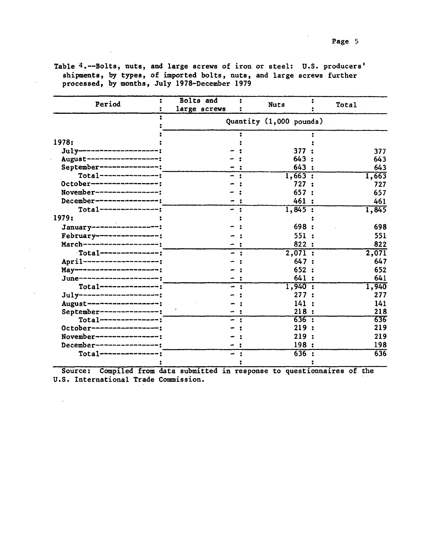| Period                      | Bolts and<br>large screws | <b>Nuts</b>             | Total |
|-----------------------------|---------------------------|-------------------------|-------|
|                             |                           | Quantity (1,000 pounds) |       |
|                             |                           |                         |       |
| 1978:                       |                           |                         |       |
| July--------------------    |                           | 377                     | 377   |
| August------------------    |                           | 643                     | 643   |
| September---------------;   |                           | 643 :                   | 643   |
| Tota1----------------       |                           | 1,663:                  | 1,663 |
| October--------------       |                           | 727                     | 727   |
| November--------------      |                           | 657:                    | 657   |
| December----------------    |                           | 461                     | 461   |
| $Total$ ---------------:    |                           | 1,845:                  | 1,845 |
| 1979:                       |                           |                         |       |
| January------------------:  |                           | 698:                    | 698   |
| February----------------;   |                           | 551 :                   | 551   |
| March--------------------   |                           | 822 :                   | 822   |
| $Total-----$                |                           | 2,071:                  | 2,071 |
| April---------------------; |                           | 647:                    | 647   |
| May-----------------------  |                           | 652:                    | 652   |
| June--------------------    |                           | 641                     | 641   |
| $Total-----$                |                           | 1,940:                  | 1,940 |
| July---------------------   |                           | 277:                    | 277   |
| August-------------------;  |                           | 141                     | 141   |
| September----------------:  |                           | 218:                    | 218   |
| $Total-----$                |                           | 636:                    | 636   |
| 0ctober------------------   |                           | 219                     | 219   |
| November----------------;   |                           | 219                     | 219   |
| December----------------;   |                           | 198:                    | 198   |
| $Total-----$                |                           | 636:                    | 636   |
|                             |                           |                         |       |

Table <sup>4</sup>.--Bolts, nuts, and large screws of iron or steel: U.S. producers' shipments, by types, of imported bolts, nuts, and large screws further processed, by months, July 1978-December 1979

 $\bar{z}$ 

Source: Compiled from data submitted in response to questionnaires of the U.S. International Trade Commission.

 $\mathcal{A}^{\pm}$ 

 $\bar{z}$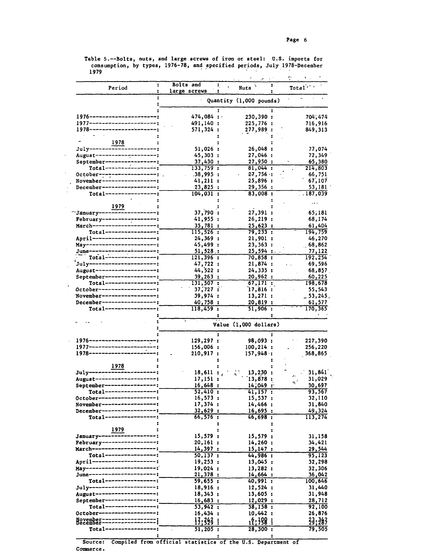Table 5.--Bolts, nuts, and large screws of iron or steel: U.S. imports for consumption, by types, 1976-78, and specified periods, July 1978-December 1979 

| Period                                                      | Bolts and<br>:<br>large screws | ۰.<br>3.<br><b>Nuts</b> | Total <sup>'</sup> |
|-------------------------------------------------------------|--------------------------------|-------------------------|--------------------|
|                                                             |                                | Quantity (1,000 pounds) |                    |
| 1976--------                                                | 474,084 : ·                    | 230,390:                |                    |
| 1977----------------                                        | 491,140:                       |                         | 704,474            |
|                                                             |                                | 225,776 :               | 716,916            |
| 1978––                                                      | 571,324 :                      | 277,989                 | 849,313            |
| 1978                                                        |                                |                         |                    |
| $July-----$                                                 | 51,026 :                       | 26,048:                 | 77,074             |
| August-------------                                         | 45,303:                        | 27,046:                 | 72,349             |
| September---------                                          | 37,430:                        | 27,950:                 | 65,380             |
| <b>Total-----------</b>                                     | 133,759:                       | 81,044:                 | 214,803            |
| October-----                                                | .38,995:                       | 27,756:                 | 66,751             |
| November------                                              | $41,211$ :                     | 25,896:                 | 67,107             |
| December----------                                          | 23,825:                        | 29,356:                 | 53,181             |
| Total-----                                                  | 104,031:                       | 83,008:                 | $-187,039$         |
|                                                             |                                |                         |                    |
| 1979                                                        |                                |                         |                    |
| "January--------                                            | 37,790:                        | 27,391:                 | 65,181             |
| February--------                                            | 41,955:                        | 26,219:                 | 68,174             |
| March------                                                 | 35,781:                        | 25,623:                 | 61,404             |
| Total------------                                           | 115,526:                       | 79,233:                 | 194,759            |
| April---------------                                        | 24,369:                        | 21,901:                 | 46,270             |
| May------------------                                       | 45,499 :                       | 23,363:                 | 68,862             |
| June--                                                      | 51,528:                        | 25,594:                 | 77,122             |
| Total--<br>$-$ :                                            | 121,396:                       | 70,858:                 | 192,254            |
| July-----------------                                       | 47,722:                        | 21,874:                 | 69,596             |
| --1<br>August--------------                                 | 44,522:                        | 24,335:                 | 68,857             |
| September-----------                                        | 39,263:                        | 20,962:                 | 60,225             |
| Total-------------<br>-- :                                  | 131,507:                       | $67, 171$ :             | 198,678            |
| October-------------                                        | 37,727:                        | 17,816:                 |                    |
|                                                             |                                |                         | 55,543             |
| November-------------                                       | 39,974:                        | 13,271:                 | $-53,245$ .        |
|                                                             |                                |                         |                    |
| December--------------                                      | 40,758:                        | 20,819:                 | 61,577             |
| <b>Total-------</b>                                         | 118,459:                       | 51,906 :                | 170,365            |
|                                                             |                                | Value (1,000 dollars)   |                    |
|                                                             |                                |                         |                    |
| 1976–                                                       | 129, 297:                      | 98,093:                 | 227,390            |
| $1977$ ----------                                           | 156,006:                       | 100, 214:               | 256,220            |
| --------------                                              | 210,917:                       | 157,948 :               | 368,865            |
|                                                             |                                |                         |                    |
| 1978                                                        |                                |                         |                    |
| July.                                                       | 18,611                         | 13,230                  | 31,841             |
| August--                                                    | 17,151:                        | 13,878                  | 31,029<br>≂້       |
| September---                                                | 16,648:                        | $14,049$ :              | 30,697             |
| Total------                                                 | 52,410 :                       | 41,157 :                | 93,567             |
| October---------                                            | 16,573:                        | 15,537:                 | 32,110             |
| November--------                                            | 17,374:                        | 14,466 :                | 31,840             |
| December------                                              | 32,629 :                       | 16,695:                 | 49,324             |
| Total----------                                             | 66,576:                        | 46,698 :                | 113,274            |
| 1979                                                        |                                |                         |                    |
| January--                                                   | 15,579 :                       | 15,579                  | 31,158             |
|                                                             | 20,161:                        | 14,260:                 | 34,421             |
| $February-----$                                             | 14,397:                        | 15,147:                 | 29,544             |
| March--------<br>$Total$ -------                            | 50, 137:                       | 44,986 :                | 95,123             |
| April --------------                                        | 19,253:                        | 13,045:                 | 32,298             |
| Hay--------------                                           |                                |                         |                    |
| June--------------                                          | 19,024:                        | 13,282:                 | 32,306             |
| <b>Total----------</b><br>-:                                | 21,378:                        | 14,664:                 | 36,042             |
|                                                             | 59,655 :                       | 40,991 :                | 100,646            |
| July-----------------                                       | 18,916:                        | 12,524:                 | 31,440             |
| August-------------                                         | 18,343:                        | 13,605:                 | 31,948             |
| September-----------                                        | 16,683:                        | 12,029:                 | 28,712             |
| $Total$ ---------------<br>--:                              | 53,942 :                       | 38,158:                 | 92,100             |
| October-------------------:                                 | 16,434:                        | 10,442:                 | 26,876             |
| November-------------------;<br>December------------------; | 13:333                         | 19:398                  | 33:383             |

Commerce.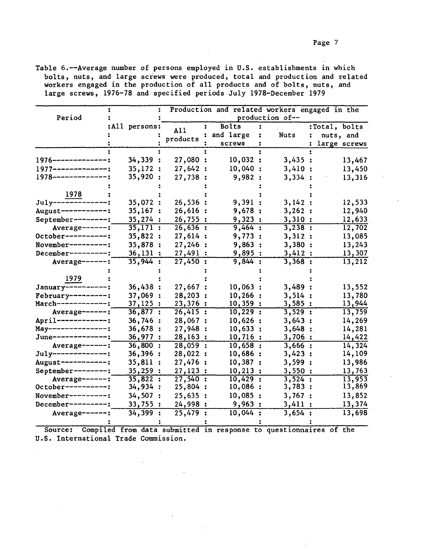|                        |  |                 |                      |                      | Production and related workers engaged in the |                |                             |    |                |        |
|------------------------|--|-----------------|----------------------|----------------------|-----------------------------------------------|----------------|-----------------------------|----|----------------|--------|
| Period                 |  | production of-- |                      |                      |                                               |                |                             |    |                |        |
|                        |  | :All persons:   | A11                  | $\ddot{\phantom{a}}$ | <b>Bolts</b>                                  | $\ddot{\cdot}$ |                             |    | :Total, bolts  |        |
|                        |  |                 |                      |                      | and large                                     |                | <b>Nuts</b><br>$\mathbf{L}$ | ٠. | nuts, and      |        |
|                        |  |                 | products             |                      | screws                                        |                |                             |    | : large screws |        |
|                        |  |                 |                      |                      |                                               |                |                             |    |                |        |
| $1976$ --------------: |  | 34,339 :        | 27,080:              |                      | 10,032:                                       |                | 3,435:                      |    |                | 13,467 |
| $1977$ -------------:  |  | 35,172:         | 27,642:              |                      | 10,040:                                       |                | 3,410:                      |    |                | 13,450 |
| 1978------------       |  | 35,920:         | 27,738:              |                      | 9,982 :                                       |                | 3,334:                      |    |                | 13,316 |
|                        |  |                 |                      |                      |                                               |                |                             |    |                |        |
| 1978                   |  |                 |                      |                      |                                               |                |                             |    |                |        |
| $July----------2$      |  | 35,072 :        | 26,536:              |                      | 9,391:                                        |                | 3,142:                      |    |                | 12,533 |
| August-----------:     |  | 35,167:         | 26,616:              |                      | 9,678:                                        |                | 3,262:                      |    |                | 12,940 |
| September--------:     |  | 35,274:         | 26,755:              |                      | 9,323:                                        |                | 3,310:                      |    |                | 12,633 |
| Average------:         |  | $35,171$ :      | $26,636$ :           |                      | 9,464:                                        |                | 3,238:                      |    |                | 12,702 |
| $October-----$         |  | 35,822:         | 27,614:              |                      | 9,773 :                                       |                | 3,312:                      |    |                | 13,085 |
| November---------:     |  | 35,878 :        | 27,246:              |                      | 9,863:                                        |                | 3,380:                      |    |                | 13,243 |
| December---------:     |  | 36,131:         | 27,491:              |                      | 9,895:                                        |                | 3,412:                      |    |                | 13,307 |
| Average------:         |  | 35,944:         | 27,450:              |                      | 9,844:                                        |                | 3,368:                      |    |                | 13,212 |
|                        |  |                 |                      |                      |                                               |                |                             |    |                |        |
| 1979                   |  |                 |                      |                      |                                               |                |                             |    |                |        |
| January----------:     |  | 36,438:         | 27,667:              |                      | 10,063                                        |                | 3,489:                      |    |                | 13,552 |
| February---------:     |  | 37,069 :        | 28,203:              |                      | $10,266$ :                                    |                | 3,514:                      |    |                | 13,780 |
| March------------:     |  | 37,125:         | 23,376:              |                      | 10,359:                                       |                | 3,585 :                     |    |                | 13,944 |
| Average ------:        |  | 36,877:         | 26,415:              |                      | 10,229:                                       |                | 3,529:                      |    |                | 13,759 |
| April -------------:   |  | 36,746:         | 28,067:              |                      | 10,626:                                       |                | 3,643:                      |    |                | 14,269 |
| May--------------:     |  | 36,678:         | 27,948               |                      | 10,633                                        |                | 3,648                       |    |                | 14,281 |
| June-------------:     |  | 36,977          | 28,163               |                      | 10,716:                                       |                | 3,706:                      |    |                | 14,422 |
| Average------:         |  | 36,800:         | 28,059:              |                      | 10,658:                                       |                | 3,666:                      |    |                | 14,324 |
| July-------------:     |  | 36,396:         | 28,022               | $\ddot{\cdot}$       | 10,686                                        |                | 3,423:                      |    |                | 14,109 |
| August-----------;     |  | 35,811:         | 27,476               |                      | 10,387                                        |                | 3,599 :                     |    |                | 13,986 |
| September--------:     |  | 35,259:         | 27,123:              |                      | 10, 213:                                      |                | 3,550:                      |    |                | 13,763 |
| Average------:         |  | 35,822:         | 27,540:              |                      | $10,429$ :                                    |                | 3,524:                      |    |                | 13,953 |
| $October-----$         |  | 34,934:         | 25,804:              |                      | 10,086:                                       |                | 3,783 :                     |    |                | 13,869 |
| November---------:     |  | 34,507 :        | 25,635:              |                      | 10,085:                                       |                | 3,767:                      |    |                | 13,852 |
| December---------:     |  | 33,755:         | 24,998               |                      | 9,963:                                        |                | 3,411:                      |    |                | 13,374 |
| Average------:         |  | $34,399$ :      | $\overline{25,}479:$ |                      | $\overline{10,044}$ :                         |                | 3,654:                      |    |                | 13,698 |
|                        |  |                 |                      |                      |                                               |                |                             |    |                |        |

Source: Compiled from data submitted in response to questionnaires of the U.S. International Trade Commission.

 $\mathcal{L}$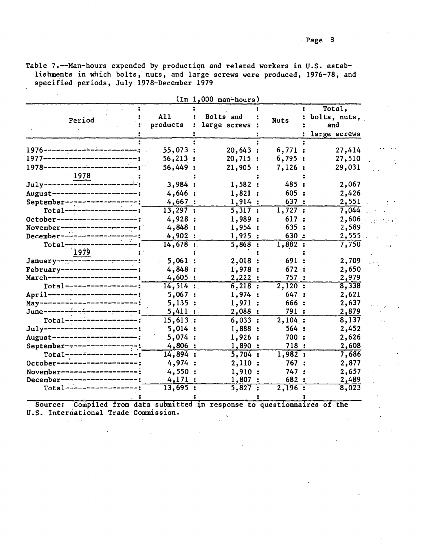Table ?.--Man-hours expended by production and related workers in U.S. establishments in which bolts, nuts, and large screws were produced, 1976-78, and specified periods, July 1978-December 1979

|                                                         |                       | $(in 1,000 man-hours)$ |             |              |
|---------------------------------------------------------|-----------------------|------------------------|-------------|--------------|
|                                                         |                       |                        |             | Total,       |
| Period                                                  | A11                   | Bolts and              | <b>Nuts</b> | bolts, nuts, |
|                                                         | products              | large screws           |             | and          |
|                                                         |                       |                        |             | large screws |
|                                                         |                       |                        |             |              |
| 1976------------------------                            | 55,073:               | 20,643:                | 6,771:      | 27,414       |
| 1977--------------------                                | 56,213:               | 20,715:                | 6,795:      | 27,510       |
| 1978--------------------                                | 56,449 :              | 21,905:                | 7,126:      | 29,031       |
| 1978                                                    |                       |                        |             |              |
| July-------------------------                           | 3,984 :               | 1,582:                 | 485 :       | 2,067        |
| August------------------                                | 4,646:                | 1,821:                 | 605:        | 2,426        |
| September-------------------<br>Total------------------ | 4,667:                | 1,914:                 | 637:        | 2,551        |
|                                                         | $\overline{13,297}$ : | 5,317:                 | 1,727:      | 7,044        |
| October----------------                                 | 4,928 :               | 1,989:                 | 617:        | 2,606        |
| November--------------                                  | 4,848:                | 1,954:                 | 635:        | 2,589        |
| December----<br>_`----------                            | 4,902:                | 1,925:                 | 630:        | 2,555        |
| $Total-----$                                            | $\overline{14,678}$ : | 5,868:                 | 1,882:      | 7,750        |
| 1979                                                    |                       |                        |             |              |
| January----------------------                           | 5,061:                | 2,018:                 | 691 :       | 2,709        |
| February-----------------                               | 4,848:                | 1,978:                 | 672:        | 2,650        |
| March--------------------                               | 4,605:                | 2,222:                 | 757:        | 2,979        |
| $Total-----$                                            | $14,514$ :            | 6,218:                 | 2,120:      | 8,338        |
| April -------------------                               | 5,067:                | 1,974:                 | 647:        | 2,621        |
| May---------------------                                | 5,135:                | 1,971:                 | 666 :       | 2,637        |
| June--------------------                                | $5,411$ :             | 2,088:                 | 791 :       | 2,879        |
| $Total-----$                                            | 15,613:               | 6,033:                 | 2,104:      | 8,137        |
| July--------------------                                | 5,014:                | 1,888 :                | 564 :       | 2,452        |
| August----------------------                            | 5,074:                | 1,926:                 | 700:        | 2,626        |
| September-----------------                              | 4,806:                | 1,890:                 | 718:        | 2,608        |
| Total------------------;                                | 14,894:               | 5,704:                 | 1,982:      | 7,686        |
| 0ctober---------------------                            | 4,974:                | 2,110:                 | 767 :       | 2,877        |
| November--------------------                            | 4,550:                | 1,910:                 | 747:        | 2,657        |
| December--------------------;                           | 4,171:                | 1,807:                 | 682:        | 2,489        |
| Tota1-------------------                                | $\overline{13,695}$ : | 5,827:                 | 2,196:      | 8,023        |
|                                                         |                       |                        |             |              |
|                                                         |                       |                        |             |              |

Source: Compiled from data submitted in response to questionnaires of the U.S. International Trade Commission.  $\ddot{\phantom{a}}$ 

 $\mathbf{r}$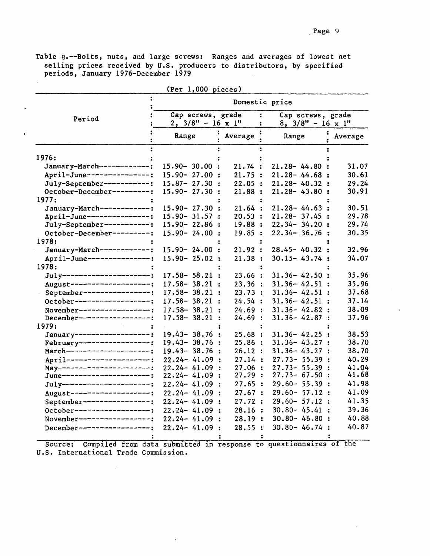Table s.--Bolts, nuts, and large screws: Ranges and averages of lowest net selling prices received by U.S. producers to distributors, by specified periods, January 1976-December 1979

|                                                                              | Domestic price                                |                                        |                                               |         |  |  |  |  |
|------------------------------------------------------------------------------|-----------------------------------------------|----------------------------------------|-----------------------------------------------|---------|--|--|--|--|
| Period                                                                       | Cap screws, grade<br>$2, 3/8" - 16 \times 1"$ | $\ddot{\phantom{a}}$<br>$\ddot{\cdot}$ | Cap screws, grade<br>$8, 3/8" - 16 \times 1"$ |         |  |  |  |  |
|                                                                              | Range                                         | Average                                | Range                                         | Average |  |  |  |  |
|                                                                              |                                               |                                        |                                               |         |  |  |  |  |
| 1976:                                                                        |                                               |                                        |                                               |         |  |  |  |  |
| January-March-------------:                                                  | $15.90 - 30.00$ :                             | 21.74:                                 | $21.28 - 44.80$ :                             | 31.07   |  |  |  |  |
| April-June---------------:                                                   | $15.90 - 27.00$ :                             | 21.75:                                 | $21.28 - 44.68$ :                             | 30.61   |  |  |  |  |
| July-September-----------:                                                   | $15.87 - 27.30$ :                             | 22.05:                                 | $21.28 - 40.32$ :                             | 29.24   |  |  |  |  |
| October-December---------:                                                   | $15.90 - 27.30$ :                             | 21.88:                                 | $21.28 - 43.80$ :                             | 30.91   |  |  |  |  |
| 1977:                                                                        |                                               |                                        |                                               |         |  |  |  |  |
| January-March -------------:                                                 | $15.90 - 27.30$ :                             | 21.64:                                 | $21.28 - 44.63$ :                             | 30.51   |  |  |  |  |
| April-June----------------:                                                  | $15.90 - 31.57$                               | 20.53:<br>$\overline{\mathbf{z}}$      | $21.28 - 37.45$ :                             | 29.78   |  |  |  |  |
| July-September-----------:                                                   | $15.90 - 22.86$ :                             | 19.88:                                 | $22.34 - 34.20:$                              | 29.74   |  |  |  |  |
| October-December---------:                                                   | $15.90 - 24.00$                               | 19.85:<br>$\cdot$                      | $22.34 - 36.76$ :                             | 30.35   |  |  |  |  |
| 1978:                                                                        |                                               |                                        |                                               |         |  |  |  |  |
| January-March------------:                                                   | $15.90 - 24.00$ :                             | 21.92:                                 | $28.45 - 40.32$ :                             | 32.96   |  |  |  |  |
| April-June---------------:                                                   | $15.90 - 25.02$ :                             | 21.38:                                 | $30.15 - 43.74$ :                             | 34.07   |  |  |  |  |
| 1978:                                                                        |                                               |                                        |                                               |         |  |  |  |  |
| July-----------------------;                                                 | $17.58 - 58.21$ :                             | 23.66:                                 | $31.36 - 42.50$ :                             | 35.96   |  |  |  |  |
| August--------------------;                                                  | $17.58 - 38.21$ :                             | 23.36:                                 | $31.36 - 42.51$ :                             | 35.96   |  |  |  |  |
| September----------------;                                                   | $17.58 - 38.21$ :                             | 23.73:                                 | $31.36 - 42.51$ :                             | 37.68   |  |  |  |  |
| October-------------------;                                                  | $17.58 - 38.21$ :                             | 24.54:                                 | $31.36 - 42.51$ :                             | 37.14   |  |  |  |  |
| November-------------------                                                  | $17.58 - 38.21$ :                             | 24.69:                                 | $31.36 - 42.82$ :                             | 38.09   |  |  |  |  |
| December-------------------:                                                 | $17.58 - 38.21$                               | 24.69:<br>$\ddot{\cdot}$               | $31.36 - 42.87$ :                             | 37.96   |  |  |  |  |
| 1979:                                                                        |                                               |                                        |                                               |         |  |  |  |  |
| January-------------------;                                                  | $19.43 - 38.76$ :                             | 25.68:                                 | $31.36 - 42.25$ :                             | 38.53   |  |  |  |  |
| February------------------:                                                  | $19.43 - 38.76$                               | 25.86:<br>$\ddot{\phantom{a}}$         | $31.36 - 43.27$ :                             | 38.70   |  |  |  |  |
| March---------------------;                                                  | $19.43 - 38.76$                               | 26.12:<br>$\mathbf{r}$                 | $31.36 - 43.27$ :                             | 38.70   |  |  |  |  |
| April---------------------:                                                  | $22.24 - 41.09$ :                             | 27.14:                                 | $27.73 - 55.39$ :                             | 40.29   |  |  |  |  |
| May------------------------;                                                 | $22.24 - 41.09$ :                             | 27.06:                                 | $27.73 - 55.39:$                              | 41.04   |  |  |  |  |
| June----------------------;                                                  | $22.24 - 41.09:$                              | 27.29:                                 | $27.73 - 67.50$ :                             | 41.68   |  |  |  |  |
| July----------------------;                                                  | $22.24 - 41.09$                               | 27.65:<br>$\ddot{\phantom{1}}$         | $29.60 - 55.39:$                              | 41.98   |  |  |  |  |
| August--------------------;                                                  | $22.24 - 41.09:$                              | 27.67:                                 | $29.60 - 57.12$ :                             | 41.09   |  |  |  |  |
| September----------------:                                                   | $22.24 - 41.09$ :                             | 27.72:                                 | $29.60 - 57.12$ :                             | 41.35   |  |  |  |  |
| 0ctober--------------------                                                  | $22.24 - 41.09$ :                             | 28.16:                                 | $30.80 - 45.41$ :                             | 39.36   |  |  |  |  |
| November------------------:                                                  | $22.24 - 41.09$                               | 28.19:<br>$\ddot{\phantom{a}}$         | $30.80 - 46.80$ :                             | 40.88   |  |  |  |  |
| December-------------------                                                  | $22.24 - 41.09$ :                             | 28.55:                                 | $30.80 - 46.74$ :                             | 40.87   |  |  |  |  |
|                                                                              |                                               |                                        |                                               |         |  |  |  |  |
| Compiled from data submitted in response to questionnaires of the<br>Source: |                                               |                                        |                                               |         |  |  |  |  |

(Per 1,000 pieces)

U.S. International Trade Commission.

 $\ddot{\phantom{a}}$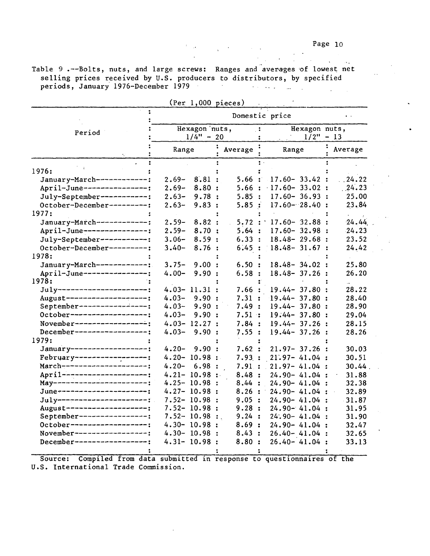Table 9.--Bolts, nuts, and large screws: Ranges and averages of lowest net selling prices received by U.S. producers to distributors, by specified periods, January 1976-December 1979  $\mathcal{L}(\mathbf{z})$  ,  $\mathcal{L}(\mathbf{z})$ 

 $\mathcal{I}=\mathcal{A}^{\mathcal{I}}_{\mathcal{I}}$ 

| Period                               | Hexagon nuts,<br>$1/4" - 20$ |                         | Hexagon nuts,<br>$\ddot{\phantom{a}}$ | $1/2" - 13$ |
|--------------------------------------|------------------------------|-------------------------|---------------------------------------|-------------|
|                                      | Range                        | Average                 | Range                                 | Average     |
|                                      |                              |                         |                                       |             |
| 1976:                                |                              |                         |                                       |             |
| January-March------------:           | 8.81:<br>$2.69-$             | 5.66:                   | $17.60 - 33.42$ :                     | .24.22      |
| April-June---------------;           | 8.80:<br>$2.69-$             | 5.66:                   | $-17.60 - 33.02$ :                    | 24.23       |
| July-September-----------:           | 9.78:<br>$2.63-$             | 5.85:                   | $17.60 - 36.93:$                      | 25.00       |
| October-December--------             | 9.83:<br>$2.63-$             | 5.85:                   | $17.60 - 28.40$ :                     | 23,84       |
| 1977:                                |                              |                         |                                       |             |
| January-March------------:           | 8.82:<br>$2.59-$             | 5.72:                   | $17.60 - 32.88$ :                     | 24.44       |
| April-June---------------;           | $2.59-$<br>8.70:             | 5.64:                   | $17.60 - 32.98$ :                     | $-24.23$    |
| July-September-----------:           | $3.06 -$<br>8.59:            | 6.33:                   | $18.48 - 29.68$ :                     | 23.52       |
| October-December---------:           | $3.40 -$<br>8.76:            | 6.45:                   | $18.48 - 31.67$ :                     | 24.42       |
| 1978:                                |                              |                         |                                       |             |
| January-March------------:           | 9.00:<br>$3.75 -$            | 6.50:                   | $18.48 - 34.02$ :                     | 25.80       |
| April-June----------------:<br>1978: | $4.00 -$<br>9.90:            | 6.58:                   | $18.48 - 37.26$ :                     | 26.20       |
| July------------------------         | $4.03 - 11.31$ :             | 7.66:                   | $19.44 - 37.80:$                      | 28.22       |
| August---------------------;         | $4.03 -$<br>9.90:            | 7.31:                   | $19.44 - 37.80$ :                     | 28.40       |
| September----------------:           | $4.03 -$<br>9.90:            | 7.49:                   | $19.44 - 37.80:$                      | 28.90       |
| October-------------------:          | $4.03 -$<br>9.90:            | 7.51:                   | $19.44 - 37.80:$                      | 29.04       |
| November---------------              | $4.03 - 12.27$ :             | 7.84:                   | $19.44 - 37.26:$                      | 28.15       |
| December-------------                | $4.03 -$<br>9.90:            | 7.55:                   | $19.44 - 37.26$ :                     | 28.26       |
| 1979:                                |                              |                         |                                       |             |
| January-------------------;          | $4.20 -$<br>9.90:            | 7.62:                   | $21.97 - 37.26$ :                     | 30.03       |
| February------------------:          | $4.20 - 10.98 :$             | 7.93:                   | $21.97 - 41.04$ :                     | 30.51       |
| March----------------------          | $4.20 -$<br>6.98             | 7.91:<br>$\mathbf{r}$   | $21.97 - 41.04$ :                     | 30.44       |
| April ----------------------         | $4.21 - 10.98:$              | 8.48:                   | $24.90 - 41.04$ :                     | 31.88       |
| May------------------------;         | $4.25 - 10.98$ :             | 8.44:                   | $24.90 - 41.04$ :                     | 32.38       |
| June----------------------;          | $4.27 - 10.98$ :             | 8.26:                   | $24.90 - 41.04$ :                     | 32.89       |
| $July----------$                     | $7.52 - 10.98$ :             | 9.05:                   | $24.90 - 41.04$ :                     | $-31.87$    |
| August--------------------;          | $7.52 - 10.98:$              | 9.28:                   | $24.90 - 41.04$ :                     | 31.95       |
| September-----------------:          | $7.52 - 10.98$               | 9.24:<br>$\ddot{\cdot}$ | $24.90 - 41.04$ :                     | 31.90       |
| 0ctober--------------------:         | $4.30 - 10.98:$              | 8.69:                   | $24.90 - 41.04$ :                     | 32.47       |
| November-------------------          | $4.30 - 10.98$ :             | 8.43:                   | $26.40 - 41.04$ :                     | 32.65       |
| December-------------------          | $4.31 - 10.98$ :             | 8.80:                   | $26.40 - 41.04$ :                     | 33.13       |
|                                      |                              |                         |                                       |             |
|                                      |                              |                         |                                       |             |

(Per 1,000 pieces)

 $\mathcal{L}^{\mathcal{L}}(\mathcal{L}^{\mathcal{L}})$  and  $\mathcal{L}^{\mathcal{L}}(\mathcal{L}^{\mathcal{L}})$  and  $\mathcal{L}^{\mathcal{L}}(\mathcal{L}^{\mathcal{L}})$ 

 $\sigma_{\rm{max}}$ 

 $\sim$ 

Source: Compiled from data submitted in response to questionnaires of the U.S. International Trade Commission.

 $\bar{a}$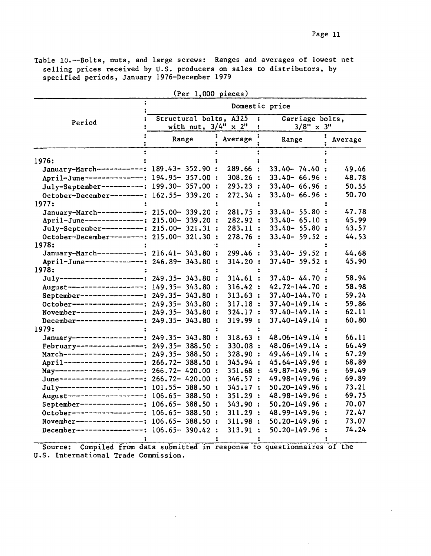Table 10.--Bolts, nuts, and large screws: Ranges and averages of lowest net selling prices received by U.S. producers on sales to distributors, by specified periods, January 1976-December 1979

|                                                   | Domestic price         |                            |                                         |         |  |  |  |  |
|---------------------------------------------------|------------------------|----------------------------|-----------------------------------------|---------|--|--|--|--|
| Period                                            | Structural bolts, A325 |                            | Carriage bolts,<br>$\ddot{\phantom{a}}$ |         |  |  |  |  |
|                                                   | with $nut, 3/4"$       | x <sup>2</sup>             | 3/8" x 3"                               |         |  |  |  |  |
|                                                   | Range                  | Average                    | Range                                   | Average |  |  |  |  |
| 1976:                                             |                        |                            |                                         |         |  |  |  |  |
| January-March-----------: 189.43- 352.90 :        |                        | 289.66:                    | $33.40 - 74.40$ :                       | 49.46   |  |  |  |  |
| April-June---------------: 194.95- 357.00 :       |                        | 308.26:                    | $33.40 - 66.96:$                        | 48.78   |  |  |  |  |
| July-September----------: 199.30- 357.00 :        |                        | 293.23:                    | $33.40 - 66.96$ :                       | 50.55   |  |  |  |  |
| October-December--------: 162.55- 339.20 :        |                        | 272.34:                    | $33.40 - 66.96:$                        | 50.70   |  |  |  |  |
| 1977:                                             |                        |                            |                                         |         |  |  |  |  |
| January-March-----------: 215.00- 339.20 :        |                        | 281.75:                    | $33.40 - 55.80$ :                       | 47.78   |  |  |  |  |
| April-June-------------: 215.00- 339.20 :         |                        | 282.92 :                   | $33.40 - 65.10$ :                       | 45.99   |  |  |  |  |
| July-September----------: 215.00- 321.31 :        |                        | 283.11:                    | $33.40 - 55.80:$                        | 43.57   |  |  |  |  |
| October-December--------: 215.00- 321.30 :        |                        | 278.76 :                   | $33.40 - 59.52$ :                       | 44.53   |  |  |  |  |
| 1978:                                             |                        |                            |                                         |         |  |  |  |  |
| January-March------------: 216.41- 343.80         |                        | 299.46 :<br>$\ddot{\cdot}$ | $33.40 - 59.52$ :                       | 44.68   |  |  |  |  |
| April-June--------------: 246.89- 343.80          |                        | 314.20:<br>$\cdot$         | $37.40 - 59.52:$                        | 45.90   |  |  |  |  |
| 1978:                                             |                        |                            |                                         |         |  |  |  |  |
| $July-----$ -------------------; 249.35- 343.80 : |                        | 314.61:                    | $37.40 - 44.70$ :                       | 58.94   |  |  |  |  |
| August------------------: 149.35- 343.80 :        |                        | 316.42:                    | $42.72 - 144.70:$                       | 58.98   |  |  |  |  |
| September---------------: 249.35- 343.80 :        |                        | 313.63:                    | $37.40 - 144.70:$                       | 59.24   |  |  |  |  |
| October-----------------; 249.35- 343.80 :        |                        | 317.18:                    | $37.40 - 149.14$ :                      | 59.86   |  |  |  |  |
| November----------------: 249.35- 343.80 :        |                        | 324.17:                    | $37.40 - 149.14$ :                      | 62.11   |  |  |  |  |
| December----------------: 249.35- 343.80 :        |                        | 319.99:                    | $37.40 - 149.14$ :                      | 60.80   |  |  |  |  |
| 1979:                                             |                        |                            |                                         |         |  |  |  |  |
| January------------------: 249.35- 343.80 :       |                        | 318.63:                    | $48.06 - 149.14$ :                      | 66.11   |  |  |  |  |
| February-----------------: 249.35- 388.50 :       |                        | 330.08:                    | $48.06 - 149.14$ :                      | 66.49   |  |  |  |  |
| March--------------------: 249.35- 388.50         |                        | 328.90 :                   | $49.46 - 149.14$ :                      | 67.29   |  |  |  |  |
| April --------------------: 266.72- 388.50        |                        | 345.94:                    | $45.64 - 149.96:$                       | 68.89   |  |  |  |  |
| May---------------------; $266.72-420.00$ :       |                        | 351.68:                    | $49.87 - 149.96$ :                      | 69.49   |  |  |  |  |
| June---------------------; 266.72- 420.00 :       |                        | 346.57:                    | 49.98-149.96 :                          | 69.89   |  |  |  |  |
| $July-----------------: 101.55- 388.50 :$         |                        | 345.17:                    | $50.20 - 149.96$ :                      | 73.21   |  |  |  |  |
| August-------------------; 106.65- 388.50 :       |                        | 351.29:                    | $48.98 - 149.96:$                       | 69.75   |  |  |  |  |
| September---------------; 106.65- 388.50          |                        | 343.90:                    | $50.20 - 149.96$ :                      | 70.07   |  |  |  |  |
| October-----------------: 106.65- 388.50 :        |                        | 311.29:                    | 48.99-149.96 :                          | 72.47   |  |  |  |  |
| November----------------: 106.65- 388.50 :        |                        | 311.98:                    | $50.20 - 149.96$ :                      | 73.07   |  |  |  |  |
| December----------------: 106.65- 390.42 :        |                        | 313.91:                    | $50.20 - 149.96:$                       | 74.24   |  |  |  |  |
| $\ddot{\phantom{a}}$                              |                        |                            |                                         |         |  |  |  |  |

(Per 1,000 pieces)

Source: Compiled from data submitted in response to questionnaires of the u.s. International Trade Commission.

 $\sim 10^7$ 

 $\sim 10^{10}$  km  $^{-1}$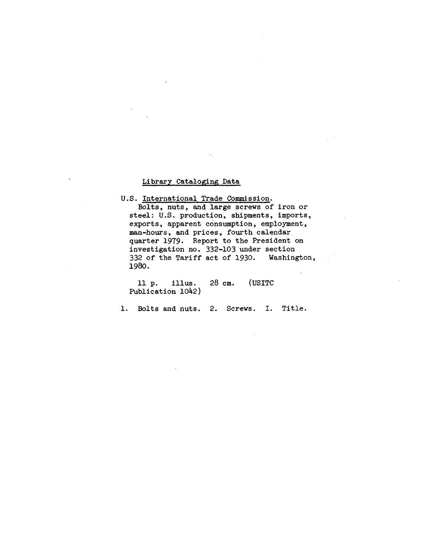### Library Cataloging Data

U.S. International Trade Commission.

Bolts, nuts, and large screws of iron or steel: U.S. production, shipments, imports, exports, apparent consumption, employment, man-hours, and prices, fourth calendar quarter 1979. Report to the President on investigation no. 332-103 under section 332 of the Tariff act of 1930. Washington, 1980.

11 p. illus. 28 cm. (USITC Publication 1042)

1. Bolts and nuts. 2. Screws. I. Title.

 $\bar{\bar{z}}$